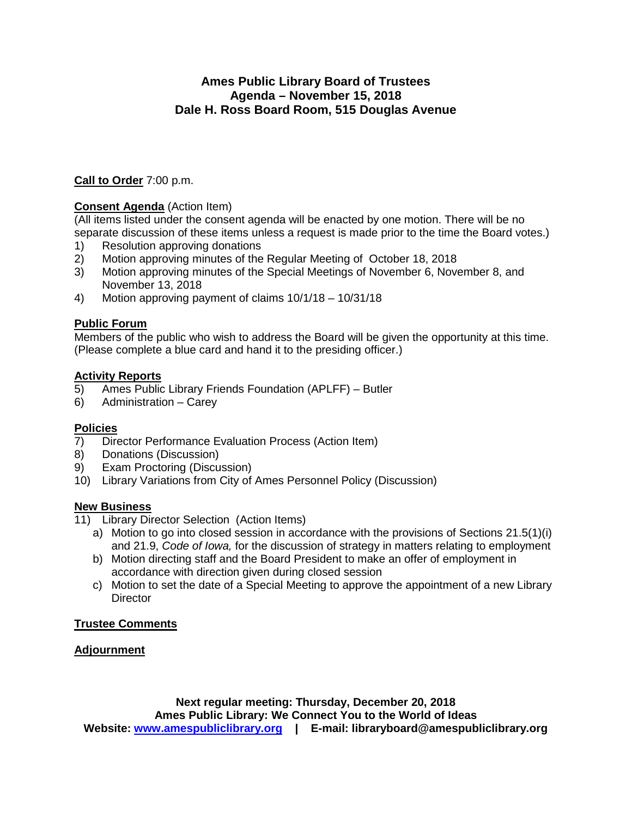## **Ames Public Library Board of Trustees Agenda – November 15, 2018 Dale H. Ross Board Room, 515 Douglas Avenue**

#### **Call to Order** 7:00 p.m.

## **Consent Agenda** (Action Item)

(All items listed under the consent agenda will be enacted by one motion. There will be no separate discussion of these items unless a request is made prior to the time the Board votes.)

- 1) Resolution approving donations
- 2) Motion approving minutes of the Regular Meeting of October 18, 2018<br>3) Motion approving minutes of the Special Meetings of November 6. Nove
- Motion approving minutes of the Special Meetings of November 6, November 8, and November 13, 2018
- 4) Motion approving payment of claims 10/1/18 10/31/18

#### **Public Forum**

Members of the public who wish to address the Board will be given the opportunity at this time. (Please complete a blue card and hand it to the presiding officer.)

#### **Activity Reports**

- 5) Ames Public Library Friends Foundation (APLFF) Butler
- 6) Administration Carey

#### **Policies**

- 7) Director Performance Evaluation Process (Action Item)
- 8) Donations (Discussion)
- 9) Exam Proctoring (Discussion)
- 10) Library Variations from City of Ames Personnel Policy (Discussion)

#### **New Business**

- 11) Library Director Selection (Action Items)
	- a) Motion to go into closed session in accordance with the provisions of Sections 21.5(1)(i) and 21.9, *Code of Iowa,* for the discussion of strategy in matters relating to employment
	- b) Motion directing staff and the Board President to make an offer of employment in accordance with direction given during closed session
	- c) Motion to set the date of a Special Meeting to approve the appointment of a new Library **Director**

## **Trustee Comments**

## **Adjournment**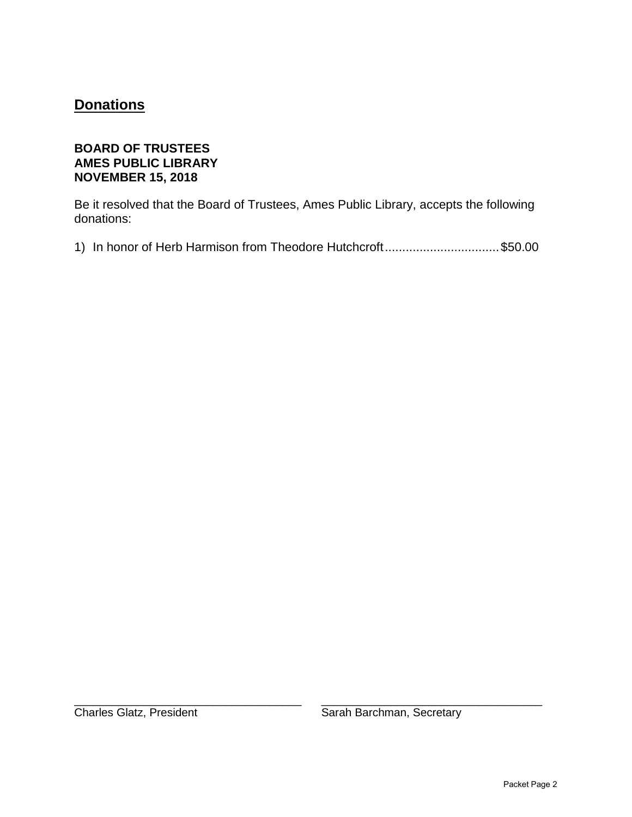## **Donations**

## **BOARD OF TRUSTEES AMES PUBLIC LIBRARY NOVEMBER 15, 2018**

Be it resolved that the Board of Trustees, Ames Public Library, accepts the following donations:

1) In honor of Herb Harmison from Theodore Hutchcroft.................................\$50.00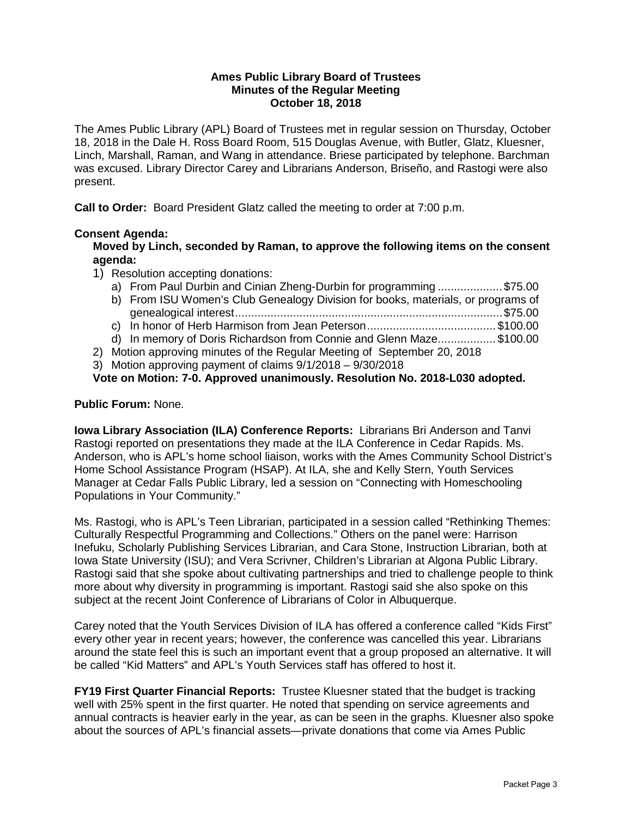#### **Ames Public Library Board of Trustees Minutes of the Regular Meeting October 18, 2018**

The Ames Public Library (APL) Board of Trustees met in regular session on Thursday, October 18, 2018 in the Dale H. Ross Board Room, 515 Douglas Avenue, with Butler, Glatz, Kluesner, Linch, Marshall, Raman, and Wang in attendance. Briese participated by telephone. Barchman was excused. Library Director Carey and Librarians Anderson, Briseño, and Rastogi were also present.

**Call to Order:** Board President Glatz called the meeting to order at 7:00 p.m.

#### **Consent Agenda:**

**Moved by Linch, seconded by Raman, to approve the following items on the consent agenda:**

- 1) Resolution accepting donations:
	- a) From Paul Durbin and Cinian Zheng-Durbin for programming .................... \$75.00
	- b) From ISU Women's Club Genealogy Division for books, materials, or programs of genealogical interest...................................................................................\$75.00
	- c) In honor of Herb Harmison from Jean Peterson........................................ \$100.00
	- d) In memory of Doris Richardson from Connie and Glenn Maze.................. \$100.00
- 2) Motion approving minutes of the Regular Meeting of September 20, 2018
- 3) Motion approving payment of claims 9/1/2018 9/30/2018

**Vote on Motion: 7-0. Approved unanimously. Resolution No. 2018-L030 adopted.**

#### **Public Forum:** None.

**Iowa Library Association (ILA) Conference Reports:** Librarians Bri Anderson and Tanvi Rastogi reported on presentations they made at the ILA Conference in Cedar Rapids. Ms. Anderson, who is APL's home school liaison, works with the Ames Community School District's Home School Assistance Program (HSAP). At ILA, she and Kelly Stern, Youth Services Manager at Cedar Falls Public Library, led a session on "Connecting with Homeschooling Populations in Your Community."

Ms. Rastogi, who is APL's Teen Librarian, participated in a session called "Rethinking Themes: Culturally Respectful Programming and Collections." Others on the panel were: Harrison Inefuku, Scholarly Publishing Services Librarian, and Cara Stone, Instruction Librarian, both at Iowa State University (ISU); and Vera Scrivner, Children's Librarian at Algona Public Library. Rastogi said that she spoke about cultivating partnerships and tried to challenge people to think more about why diversity in programming is important. Rastogi said she also spoke on this subject at the recent Joint Conference of Librarians of Color in Albuquerque.

Carey noted that the Youth Services Division of ILA has offered a conference called "Kids First" every other year in recent years; however, the conference was cancelled this year. Librarians around the state feel this is such an important event that a group proposed an alternative. It will be called "Kid Matters" and APL's Youth Services staff has offered to host it.

**FY19 First Quarter Financial Reports:** Trustee Kluesner stated that the budget is tracking well with 25% spent in the first quarter. He noted that spending on service agreements and annual contracts is heavier early in the year, as can be seen in the graphs. Kluesner also spoke about the sources of APL's financial assets—private donations that come via Ames Public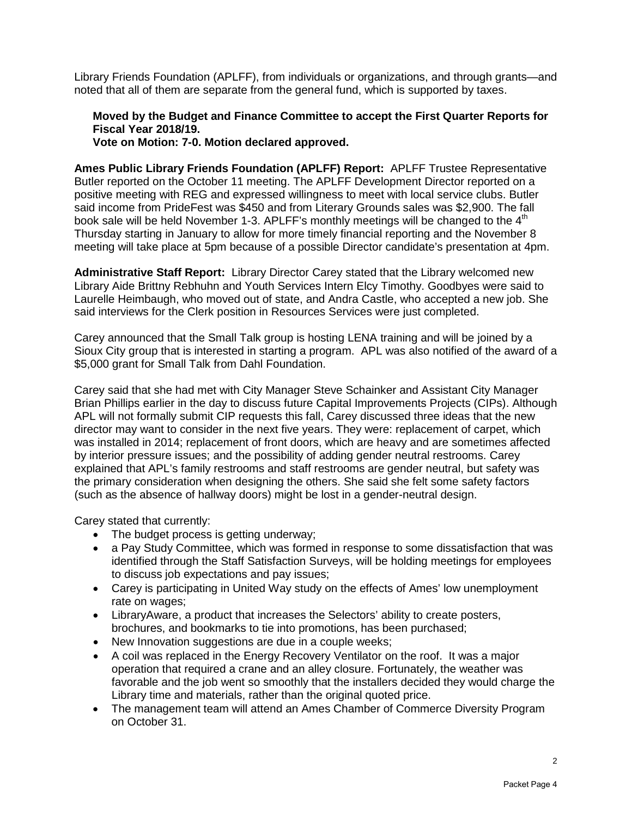Library Friends Foundation (APLFF), from individuals or organizations, and through grants—and noted that all of them are separate from the general fund, which is supported by taxes.

#### **Moved by the Budget and Finance Committee to accept the First Quarter Reports for Fiscal Year 2018/19.**

**Vote on Motion: 7-0. Motion declared approved.**

**Ames Public Library Friends Foundation (APLFF) Report:** APLFF Trustee Representative Butler reported on the October 11 meeting. The APLFF Development Director reported on a positive meeting with REG and expressed willingness to meet with local service clubs. Butler said income from PrideFest was \$450 and from Literary Grounds sales was \$2,900. The fall book sale will be held November 1-3. APLFF's monthly meetings will be changed to the  $4<sup>th</sup>$ Thursday starting in January to allow for more timely financial reporting and the November 8 meeting will take place at 5pm because of a possible Director candidate's presentation at 4pm.

**Administrative Staff Report:** Library Director Carey stated that the Library welcomed new Library Aide Brittny Rebhuhn and Youth Services Intern Elcy Timothy. Goodbyes were said to Laurelle Heimbaugh, who moved out of state, and Andra Castle, who accepted a new job. She said interviews for the Clerk position in Resources Services were just completed.

Carey announced that the Small Talk group is hosting LENA training and will be joined by a Sioux City group that is interested in starting a program. APL was also notified of the award of a \$5,000 grant for Small Talk from Dahl Foundation.

Carey said that she had met with City Manager Steve Schainker and Assistant City Manager Brian Phillips earlier in the day to discuss future Capital Improvements Projects (CIPs). Although APL will not formally submit CIP requests this fall, Carey discussed three ideas that the new director may want to consider in the next five years. They were: replacement of carpet, which was installed in 2014; replacement of front doors, which are heavy and are sometimes affected by interior pressure issues; and the possibility of adding gender neutral restrooms. Carey explained that APL's family restrooms and staff restrooms are gender neutral, but safety was the primary consideration when designing the others. She said she felt some safety factors (such as the absence of hallway doors) might be lost in a gender-neutral design.

Carey stated that currently:

- The budget process is getting underway;
- a Pay Study Committee, which was formed in response to some dissatisfaction that was identified through the Staff Satisfaction Surveys, will be holding meetings for employees to discuss job expectations and pay issues;
- Carey is participating in United Way study on the effects of Ames' low unemployment rate on wages;
- LibraryAware, a product that increases the Selectors' ability to create posters, brochures, and bookmarks to tie into promotions, has been purchased;
- New Innovation suggestions are due in a couple weeks;
- A coil was replaced in the Energy Recovery Ventilator on the roof. It was a major operation that required a crane and an alley closure. Fortunately, the weather was favorable and the job went so smoothly that the installers decided they would charge the Library time and materials, rather than the original quoted price.
- The management team will attend an Ames Chamber of Commerce Diversity Program on October 31.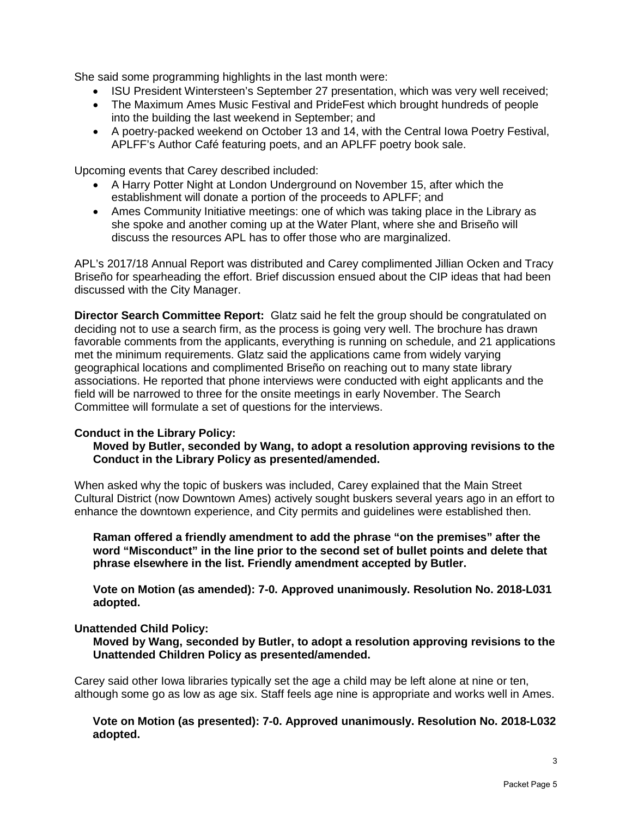She said some programming highlights in the last month were:

- ISU President Wintersteen's September 27 presentation, which was very well received;
- The Maximum Ames Music Festival and PrideFest which brought hundreds of people into the building the last weekend in September; and
- A poetry-packed weekend on October 13 and 14, with the Central Iowa Poetry Festival, APLFF's Author Café featuring poets, and an APLFF poetry book sale.

Upcoming events that Carey described included:

- A Harry Potter Night at London Underground on November 15, after which the establishment will donate a portion of the proceeds to APLFF; and
- Ames Community Initiative meetings: one of which was taking place in the Library as she spoke and another coming up at the Water Plant, where she and Briseño will discuss the resources APL has to offer those who are marginalized.

APL's 2017/18 Annual Report was distributed and Carey complimented Jillian Ocken and Tracy Briseño for spearheading the effort. Brief discussion ensued about the CIP ideas that had been discussed with the City Manager.

**Director Search Committee Report:** Glatz said he felt the group should be congratulated on deciding not to use a search firm, as the process is going very well. The brochure has drawn favorable comments from the applicants, everything is running on schedule, and 21 applications met the minimum requirements. Glatz said the applications came from widely varying geographical locations and complimented Briseño on reaching out to many state library associations. He reported that phone interviews were conducted with eight applicants and the field will be narrowed to three for the onsite meetings in early November. The Search Committee will formulate a set of questions for the interviews.

#### **Conduct in the Library Policy:**

#### **Moved by Butler, seconded by Wang, to adopt a resolution approving revisions to the Conduct in the Library Policy as presented/amended.**

When asked why the topic of buskers was included, Carey explained that the Main Street Cultural District (now Downtown Ames) actively sought buskers several years ago in an effort to enhance the downtown experience, and City permits and guidelines were established then.

**Raman offered a friendly amendment to add the phrase "on the premises" after the word "Misconduct" in the line prior to the second set of bullet points and delete that phrase elsewhere in the list. Friendly amendment accepted by Butler.** 

**Vote on Motion (as amended): 7-0. Approved unanimously. Resolution No. 2018-L031 adopted.**

#### **Unattended Child Policy:**

**Moved by Wang, seconded by Butler, to adopt a resolution approving revisions to the Unattended Children Policy as presented/amended.**

Carey said other Iowa libraries typically set the age a child may be left alone at nine or ten, although some go as low as age six. Staff feels age nine is appropriate and works well in Ames.

**Vote on Motion (as presented): 7-0. Approved unanimously. Resolution No. 2018-L032 adopted.**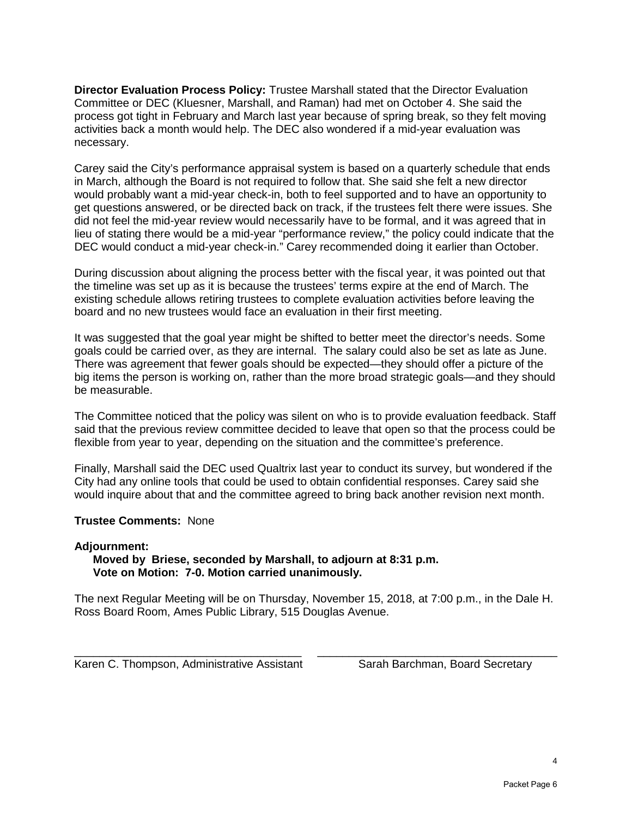**Director Evaluation Process Policy:** Trustee Marshall stated that the Director Evaluation Committee or DEC (Kluesner, Marshall, and Raman) had met on October 4. She said the process got tight in February and March last year because of spring break, so they felt moving activities back a month would help. The DEC also wondered if a mid-year evaluation was necessary.

Carey said the City's performance appraisal system is based on a quarterly schedule that ends in March, although the Board is not required to follow that. She said she felt a new director would probably want a mid-year check-in, both to feel supported and to have an opportunity to get questions answered, or be directed back on track, if the trustees felt there were issues. She did not feel the mid-year review would necessarily have to be formal, and it was agreed that in lieu of stating there would be a mid-year "performance review," the policy could indicate that the DEC would conduct a mid-year check-in." Carey recommended doing it earlier than October.

During discussion about aligning the process better with the fiscal year, it was pointed out that the timeline was set up as it is because the trustees' terms expire at the end of March. The existing schedule allows retiring trustees to complete evaluation activities before leaving the board and no new trustees would face an evaluation in their first meeting.

It was suggested that the goal year might be shifted to better meet the director's needs. Some goals could be carried over, as they are internal. The salary could also be set as late as June. There was agreement that fewer goals should be expected—they should offer a picture of the big items the person is working on, rather than the more broad strategic goals—and they should be measurable.

The Committee noticed that the policy was silent on who is to provide evaluation feedback. Staff said that the previous review committee decided to leave that open so that the process could be flexible from year to year, depending on the situation and the committee's preference.

Finally, Marshall said the DEC used Qualtrix last year to conduct its survey, but wondered if the City had any online tools that could be used to obtain confidential responses. Carey said she would inquire about that and the committee agreed to bring back another revision next month.

#### **Trustee Comments:** None

#### **Adjournment:**

#### **Moved by Briese, seconded by Marshall, to adjourn at 8:31 p.m. Vote on Motion: 7-0. Motion carried unanimously.**

The next Regular Meeting will be on Thursday, November 15, 2018, at 7:00 p.m., in the Dale H. Ross Board Room, Ames Public Library, 515 Douglas Avenue.

\_\_\_\_\_\_\_\_\_\_\_\_\_\_\_\_\_\_\_\_\_\_\_\_\_\_\_\_\_\_\_\_\_\_\_\_ \_\_\_\_\_\_\_\_\_\_\_\_\_\_\_\_\_\_\_\_\_\_\_\_\_\_\_\_\_\_\_\_\_\_\_\_\_\_ Karen C. Thompson, Administrative Assistant Sarah Barchman, Board Secretary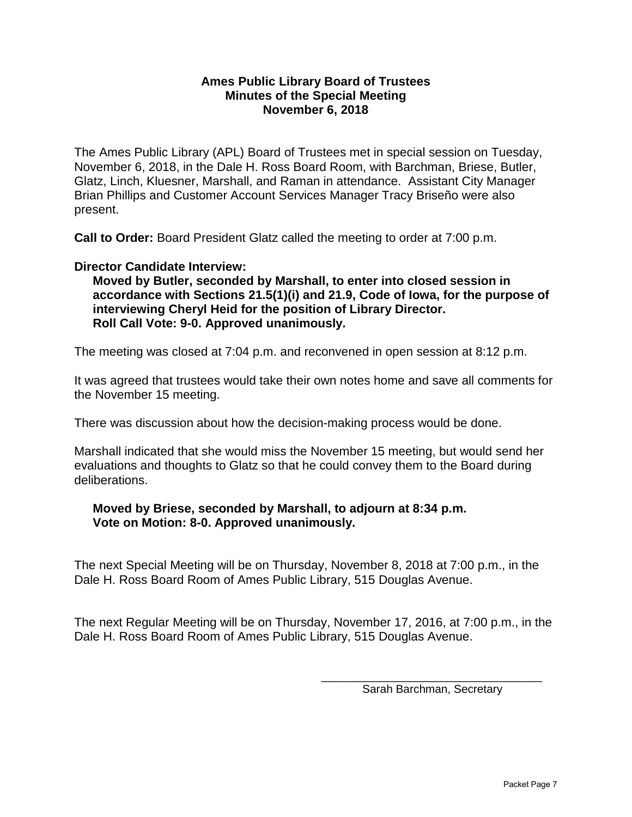#### **Ames Public Library Board of Trustees Minutes of the Special Meeting November 6, 2018**

The Ames Public Library (APL) Board of Trustees met in special session on Tuesday, November 6, 2018, in the Dale H. Ross Board Room, with Barchman, Briese, Butler, Glatz, Linch, Kluesner, Marshall, and Raman in attendance. Assistant City Manager Brian Phillips and Customer Account Services Manager Tracy Briseño were also present.

**Call to Order:** Board President Glatz called the meeting to order at 7:00 p.m.

#### **Director Candidate Interview:**

**Moved by Butler, seconded by Marshall, to enter into closed session in accordance with Sections 21.5(1)(i) and 21.9, Code of Iowa, for the purpose of interviewing Cheryl Heid for the position of Library Director. Roll Call Vote: 9-0. Approved unanimously.** 

The meeting was closed at 7:04 p.m. and reconvened in open session at 8:12 p.m.

It was agreed that trustees would take their own notes home and save all comments for the November 15 meeting.

There was discussion about how the decision-making process would be done.

Marshall indicated that she would miss the November 15 meeting, but would send her evaluations and thoughts to Glatz so that he could convey them to the Board during deliberations.

## **Moved by Briese, seconded by Marshall, to adjourn at 8:34 p.m. Vote on Motion: 8-0. Approved unanimously.**

The next Special Meeting will be on Thursday, November 8, 2018 at 7:00 p.m., in the Dale H. Ross Board Room of Ames Public Library, 515 Douglas Avenue.

The next Regular Meeting will be on Thursday, November 17, 2016, at 7:00 p.m., in the Dale H. Ross Board Room of Ames Public Library, 515 Douglas Avenue.

> \_\_\_\_\_\_\_\_\_\_\_\_\_\_\_\_\_\_\_\_\_\_\_\_\_\_\_\_\_\_\_\_\_\_\_ Sarah Barchman, Secretary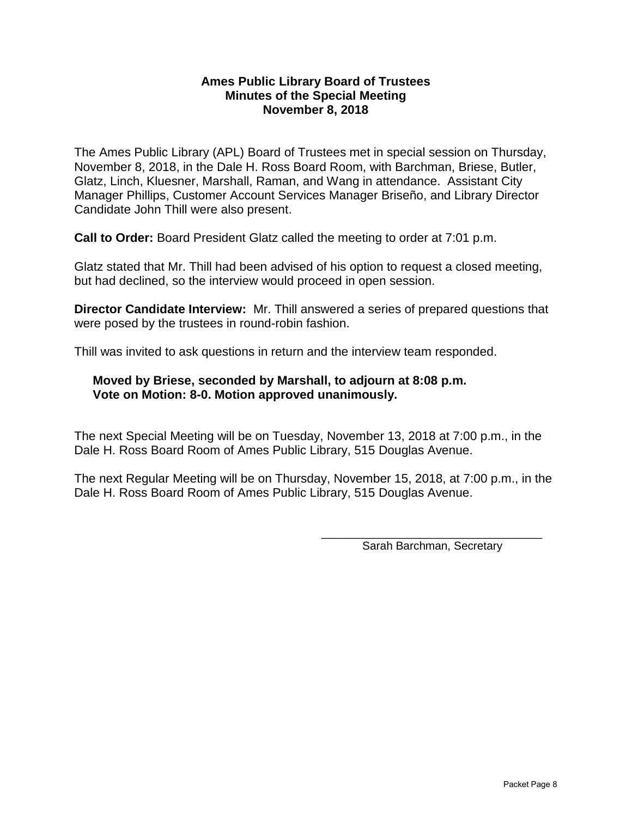#### **Ames Public Library Board of Trustees Minutes of the Special Meeting November 8, 2018**

The Ames Public Library (APL) Board of Trustees met in special session on Thursday, November 8, 2018, in the Dale H. Ross Board Room, with Barchman, Briese, Butler, Glatz, Linch, Kluesner, Marshall, Raman, and Wang in attendance. Assistant City Manager Phillips, Customer Account Services Manager Briseño, and Library Director Candidate John Thill were also present.

**Call to Order:** Board President Glatz called the meeting to order at 7:01 p.m.

Glatz stated that Mr. Thill had been advised of his option to request a closed meeting, but had declined, so the interview would proceed in open session.

**Director Candidate Interview:** Mr. Thill answered a series of prepared questions that were posed by the trustees in round-robin fashion.

Thill was invited to ask questions in return and the interview team responded.

## **Moved by Briese, seconded by Marshall, to adjourn at 8:08 p.m. Vote on Motion: 8-0. Motion approved unanimously.**

The next Special Meeting will be on Tuesday, November 13, 2018 at 7:00 p.m., in the Dale H. Ross Board Room of Ames Public Library, 515 Douglas Avenue.

The next Regular Meeting will be on Thursday, November 15, 2018, at 7:00 p.m., in the Dale H. Ross Board Room of Ames Public Library, 515 Douglas Avenue.

> \_\_\_\_\_\_\_\_\_\_\_\_\_\_\_\_\_\_\_\_\_\_\_\_\_\_\_\_\_\_\_\_\_\_\_ Sarah Barchman, Secretary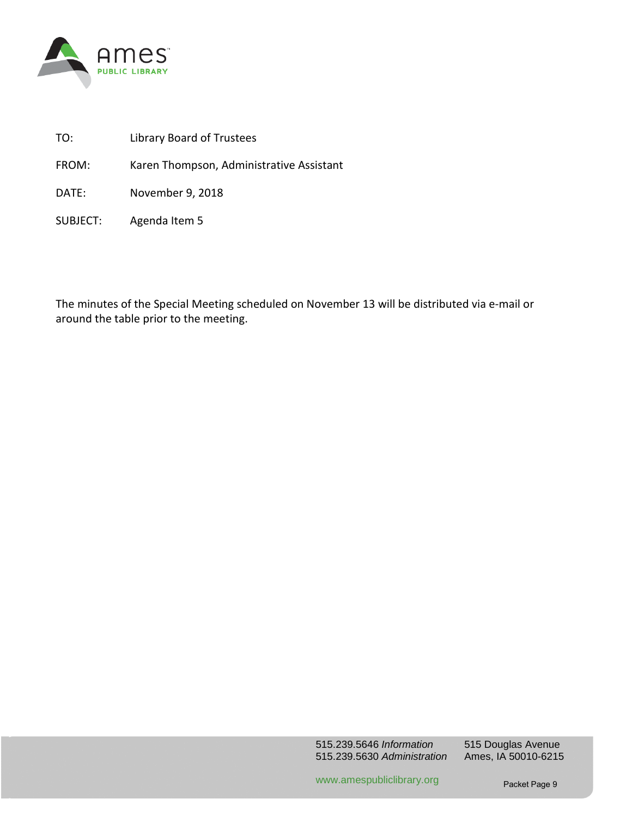

- TO: Library Board of Trustees
- FROM: Karen Thompson, Administrative Assistant

DATE: November 9, 2018

SUBJECT: Agenda Item 5

The minutes of the Special Meeting scheduled on November 13 will be distributed via e-mail or around the table prior to the meeting.

www.amespubliclibrary.org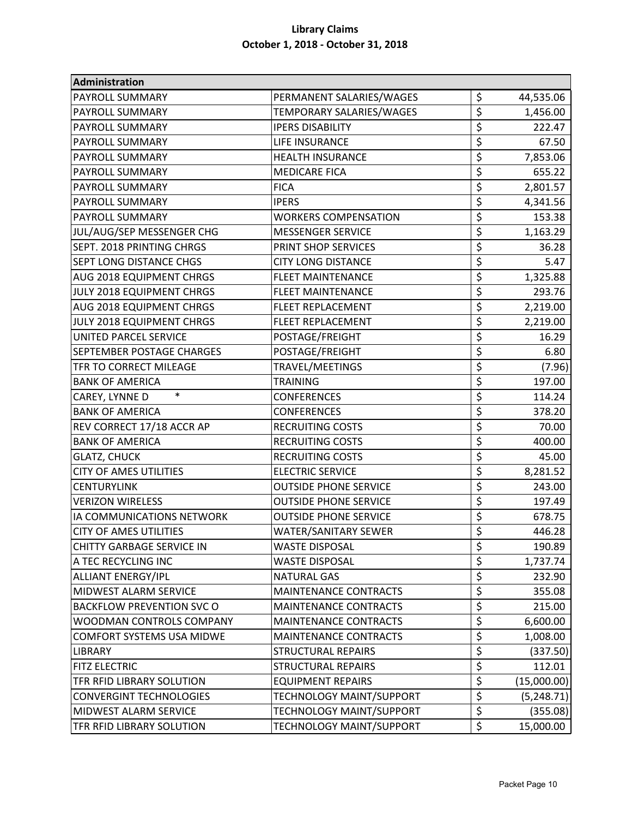| Administration                   |                                 |                  |             |
|----------------------------------|---------------------------------|------------------|-------------|
| PAYROLL SUMMARY                  | PERMANENT SALARIES/WAGES        | \$               | 44,535.06   |
| <b>PAYROLL SUMMARY</b>           | TEMPORARY SALARIES/WAGES        | \$               | 1,456.00    |
| PAYROLL SUMMARY                  | <b>IPERS DISABILITY</b>         | \$               | 222.47      |
| PAYROLL SUMMARY                  | LIFE INSURANCE                  | \$               | 67.50       |
| <b>PAYROLL SUMMARY</b>           | <b>HEALTH INSURANCE</b>         | \$               | 7,853.06    |
| PAYROLL SUMMARY                  | <b>MEDICARE FICA</b>            | \$               | 655.22      |
| <b>PAYROLL SUMMARY</b>           | <b>FICA</b>                     | \$               | 2,801.57    |
| PAYROLL SUMMARY                  | <b>IPERS</b>                    | \$               | 4,341.56    |
| PAYROLL SUMMARY                  | <b>WORKERS COMPENSATION</b>     | \$               | 153.38      |
| JUL/AUG/SEP MESSENGER CHG        | <b>MESSENGER SERVICE</b>        | \$               | 1,163.29    |
| SEPT. 2018 PRINTING CHRGS        | PRINT SHOP SERVICES             | \$               | 36.28       |
| <b>SEPT LONG DISTANCE CHGS</b>   | <b>CITY LONG DISTANCE</b>       | \$               | 5.47        |
| AUG 2018 EQUIPMENT CHRGS         | <b>FLEET MAINTENANCE</b>        | \$               | 1,325.88    |
| JULY 2018 EQUIPMENT CHRGS        | <b>FLEET MAINTENANCE</b>        | \$               | 293.76      |
| AUG 2018 EQUIPMENT CHRGS         | <b>FLEET REPLACEMENT</b>        | \$               | 2,219.00    |
| JULY 2018 EQUIPMENT CHRGS        | <b>FLEET REPLACEMENT</b>        | \$               | 2,219.00    |
| UNITED PARCEL SERVICE            | POSTAGE/FREIGHT                 | \$               | 16.29       |
| <b>SEPTEMBER POSTAGE CHARGES</b> | POSTAGE/FREIGHT                 | \$               | 6.80        |
| TFR TO CORRECT MILEAGE           | TRAVEL/MEETINGS                 | \$               | (7.96)      |
| <b>BANK OF AMERICA</b>           | <b>TRAINING</b>                 | \$               | 197.00      |
| $\ast$<br>CAREY, LYNNE D         | <b>CONFERENCES</b>              | \$               | 114.24      |
| <b>BANK OF AMERICA</b>           | <b>CONFERENCES</b>              | \$               | 378.20      |
| REV CORRECT 17/18 ACCR AP        | <b>RECRUITING COSTS</b>         | \$               | 70.00       |
| <b>BANK OF AMERICA</b>           | <b>RECRUITING COSTS</b>         | \$               | 400.00      |
| <b>GLATZ, CHUCK</b>              | <b>RECRUITING COSTS</b>         | \$               | 45.00       |
| <b>CITY OF AMES UTILITIES</b>    | <b>ELECTRIC SERVICE</b>         | \$               | 8,281.52    |
| <b>CENTURYLINK</b>               | <b>OUTSIDE PHONE SERVICE</b>    | \$               | 243.00      |
| <b>VERIZON WIRELESS</b>          | <b>OUTSIDE PHONE SERVICE</b>    | \$               | 197.49      |
| IA COMMUNICATIONS NETWORK        | <b>OUTSIDE PHONE SERVICE</b>    | \$               | 678.75      |
| <b>CITY OF AMES UTILITIES</b>    | WATER/SANITARY SEWER            | Ś                | 446.28      |
| CHITTY GARBAGE SERVICE IN        | <b>WASTE DISPOSAL</b>           | \$               | 190.89      |
| A TEC RECYCLING INC              | <b>WASTE DISPOSAL</b>           | $\overline{\xi}$ | 1,737.74    |
| <b>ALLIANT ENERGY/IPL</b>        | <b>NATURAL GAS</b>              | \$               | 232.90      |
| MIDWEST ALARM SERVICE            | <b>MAINTENANCE CONTRACTS</b>    | \$               | 355.08      |
| <b>BACKFLOW PREVENTION SVC O</b> | <b>MAINTENANCE CONTRACTS</b>    | \$               | 215.00      |
| WOODMAN CONTROLS COMPANY         | <b>MAINTENANCE CONTRACTS</b>    | \$               | 6,600.00    |
| <b>COMFORT SYSTEMS USA MIDWE</b> | <b>MAINTENANCE CONTRACTS</b>    | \$               | 1,008.00    |
| <b>LIBRARY</b>                   | <b>STRUCTURAL REPAIRS</b>       | \$               | (337.50)    |
| <b>FITZ ELECTRIC</b>             | <b>STRUCTURAL REPAIRS</b>       | \$               | 112.01      |
| TFR RFID LIBRARY SOLUTION        | <b>EQUIPMENT REPAIRS</b>        | \$               | (15,000.00) |
| <b>CONVERGINT TECHNOLOGIES</b>   | TECHNOLOGY MAINT/SUPPORT        | \$               | (5, 248.71) |
| MIDWEST ALARM SERVICE            | <b>TECHNOLOGY MAINT/SUPPORT</b> | \$               | (355.08)    |
| TFR RFID LIBRARY SOLUTION        | TECHNOLOGY MAINT/SUPPORT        | \$               | 15,000.00   |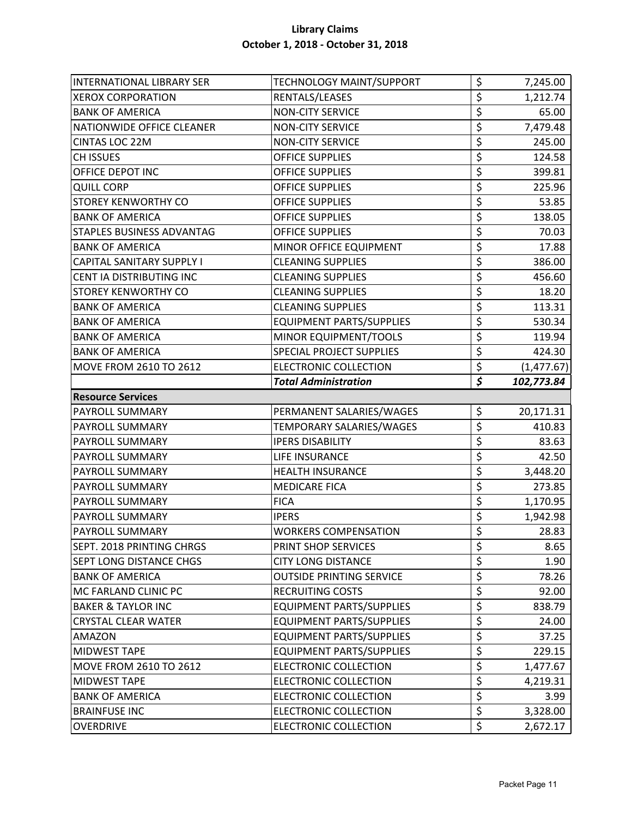| <b>INTERNATIONAL LIBRARY SER</b> | TECHNOLOGY MAINT/SUPPORT        | \$                              | 7,245.00    |
|----------------------------------|---------------------------------|---------------------------------|-------------|
| <b>XEROX CORPORATION</b>         | RENTALS/LEASES                  | \$                              | 1,212.74    |
| <b>BANK OF AMERICA</b>           | <b>NON-CITY SERVICE</b>         | \$                              | 65.00       |
| NATIONWIDE OFFICE CLEANER        | <b>NON-CITY SERVICE</b>         | \$                              | 7,479.48    |
| <b>CINTAS LOC 22M</b>            | <b>NON-CITY SERVICE</b>         | \$                              | 245.00      |
| <b>CH ISSUES</b>                 | <b>OFFICE SUPPLIES</b>          | \$                              | 124.58      |
| OFFICE DEPOT INC                 | <b>OFFICE SUPPLIES</b>          | \$                              | 399.81      |
| <b>QUILL CORP</b>                | <b>OFFICE SUPPLIES</b>          | \$                              | 225.96      |
| <b>STOREY KENWORTHY CO</b>       | <b>OFFICE SUPPLIES</b>          | \$                              | 53.85       |
| <b>BANK OF AMERICA</b>           | <b>OFFICE SUPPLIES</b>          | \$                              | 138.05      |
| <b>STAPLES BUSINESS ADVANTAG</b> | <b>OFFICE SUPPLIES</b>          | \$                              | 70.03       |
| <b>BANK OF AMERICA</b>           | MINOR OFFICE EQUIPMENT          | \$                              | 17.88       |
| <b>CAPITAL SANITARY SUPPLY I</b> | <b>CLEANING SUPPLIES</b>        | \$                              | 386.00      |
| CENT IA DISTRIBUTING INC         | <b>CLEANING SUPPLIES</b>        | \$                              | 456.60      |
| <b>STOREY KENWORTHY CO</b>       | <b>CLEANING SUPPLIES</b>        | \$                              | 18.20       |
| <b>BANK OF AMERICA</b>           | <b>CLEANING SUPPLIES</b>        | \$                              | 113.31      |
| <b>BANK OF AMERICA</b>           | <b>EQUIPMENT PARTS/SUPPLIES</b> | \$                              | 530.34      |
| <b>BANK OF AMERICA</b>           | MINOR EQUIPMENT/TOOLS           | \$                              | 119.94      |
| <b>BANK OF AMERICA</b>           | SPECIAL PROJECT SUPPLIES        | \$                              | 424.30      |
| <b>MOVE FROM 2610 TO 2612</b>    | <b>ELECTRONIC COLLECTION</b>    | $\overline{\xi}$                | (1, 477.67) |
|                                  | <b>Total Administration</b>     | $\overline{\boldsymbol{\zeta}}$ | 102,773.84  |
| <b>Resource Services</b>         |                                 |                                 |             |
| <b>PAYROLL SUMMARY</b>           | PERMANENT SALARIES/WAGES        | \$                              | 20,171.31   |
| <b>PAYROLL SUMMARY</b>           | TEMPORARY SALARIES/WAGES        | \$                              | 410.83      |
| <b>PAYROLL SUMMARY</b>           | <b>IPERS DISABILITY</b>         | \$                              | 83.63       |
| <b>PAYROLL SUMMARY</b>           | LIFE INSURANCE                  | \$                              | 42.50       |
| <b>PAYROLL SUMMARY</b>           | <b>HEALTH INSURANCE</b>         | \$                              | 3,448.20    |
| <b>PAYROLL SUMMARY</b>           | <b>MEDICARE FICA</b>            | \$                              | 273.85      |
| <b>PAYROLL SUMMARY</b>           | <b>FICA</b>                     | \$                              | 1,170.95    |
| <b>PAYROLL SUMMARY</b>           | <b>IPERS</b>                    | \$                              | 1,942.98    |
| <b>PAYROLL SUMMARY</b>           | <b>WORKERS COMPENSATION</b>     | Ś                               | 28.83       |
| SEPT. 2018 PRINTING CHRGS        | PRINT SHOP SERVICES             | \$                              | 8.65        |
| <b>SEPT LONG DISTANCE CHGS</b>   | <b>CITY LONG DISTANCE</b>       | \$                              | 1.90        |
| <b>BANK OF AMERICA</b>           | <b>OUTSIDE PRINTING SERVICE</b> | \$                              | 78.26       |
| MC FARLAND CLINIC PC             | <b>RECRUITING COSTS</b>         | \$                              | 92.00       |
| <b>BAKER &amp; TAYLOR INC</b>    | <b>EQUIPMENT PARTS/SUPPLIES</b> | \$                              | 838.79      |
| <b>CRYSTAL CLEAR WATER</b>       | <b>EQUIPMENT PARTS/SUPPLIES</b> | \$                              | 24.00       |
| <b>AMAZON</b>                    | <b>EQUIPMENT PARTS/SUPPLIES</b> | \$                              | 37.25       |
| <b>MIDWEST TAPE</b>              | <b>EQUIPMENT PARTS/SUPPLIES</b> | \$                              | 229.15      |
| <b>MOVE FROM 2610 TO 2612</b>    | <b>ELECTRONIC COLLECTION</b>    | \$                              | 1,477.67    |
| <b>MIDWEST TAPE</b>              | <b>ELECTRONIC COLLECTION</b>    | \$                              | 4,219.31    |
| <b>BANK OF AMERICA</b>           | <b>ELECTRONIC COLLECTION</b>    | \$                              | 3.99        |
| <b>BRAINFUSE INC</b>             | <b>ELECTRONIC COLLECTION</b>    | \$                              | 3,328.00    |
| <b>OVERDRIVE</b>                 | <b>ELECTRONIC COLLECTION</b>    | \$                              | 2,672.17    |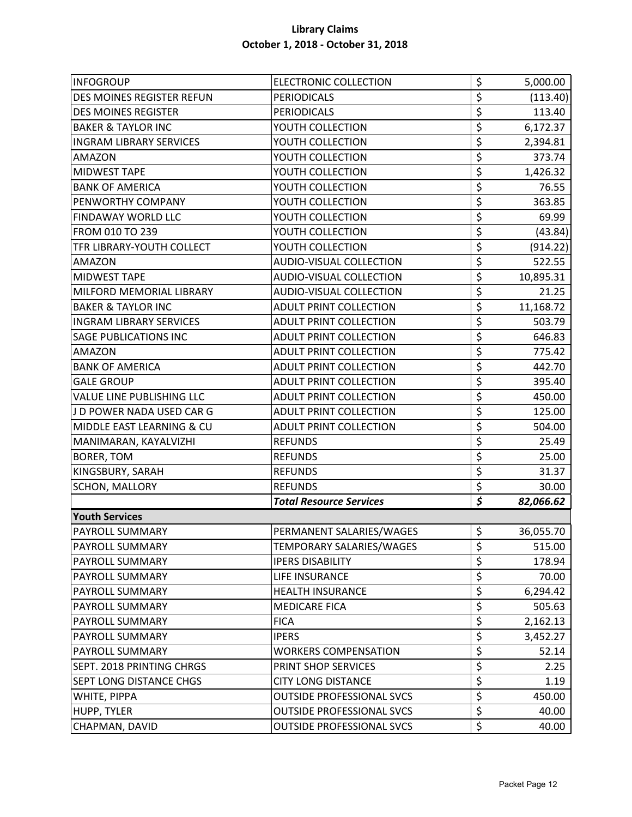| <b>INFOGROUP</b>                 | <b>ELECTRONIC COLLECTION</b>     | \$                              | 5,000.00  |
|----------------------------------|----------------------------------|---------------------------------|-----------|
| DES MOINES REGISTER REFUN        | <b>PERIODICALS</b>               | \$                              | (113.40)  |
| <b>DES MOINES REGISTER</b>       | <b>PERIODICALS</b>               | \$                              | 113.40    |
| <b>BAKER &amp; TAYLOR INC</b>    | YOUTH COLLECTION                 | \$                              | 6,172.37  |
| <b>INGRAM LIBRARY SERVICES</b>   | YOUTH COLLECTION                 | \$                              | 2,394.81  |
| <b>AMAZON</b>                    | YOUTH COLLECTION                 | \$                              | 373.74    |
| <b>MIDWEST TAPE</b>              | YOUTH COLLECTION                 | \$                              | 1,426.32  |
| <b>BANK OF AMERICA</b>           | YOUTH COLLECTION                 | \$                              | 76.55     |
| <b>PENWORTHY COMPANY</b>         | YOUTH COLLECTION                 | \$                              | 363.85    |
| <b>FINDAWAY WORLD LLC</b>        | YOUTH COLLECTION                 | \$                              | 69.99     |
| FROM 010 TO 239                  | YOUTH COLLECTION                 | \$                              | (43.84)   |
| <b>TFR LIBRARY-YOUTH COLLECT</b> | YOUTH COLLECTION                 | \$                              | (914.22)  |
| <b>AMAZON</b>                    | <b>AUDIO-VISUAL COLLECTION</b>   | \$                              | 522.55    |
| <b>MIDWEST TAPE</b>              | AUDIO-VISUAL COLLECTION          | \$                              | 10,895.31 |
| MILFORD MEMORIAL LIBRARY         | <b>AUDIO-VISUAL COLLECTION</b>   | \$                              | 21.25     |
| <b>BAKER &amp; TAYLOR INC</b>    | <b>ADULT PRINT COLLECTION</b>    | \$                              | 11,168.72 |
| <b>INGRAM LIBRARY SERVICES</b>   | <b>ADULT PRINT COLLECTION</b>    | \$                              | 503.79    |
| <b>SAGE PUBLICATIONS INC</b>     | ADULT PRINT COLLECTION           | \$                              | 646.83    |
| <b>AMAZON</b>                    | <b>ADULT PRINT COLLECTION</b>    | \$                              | 775.42    |
| <b>BANK OF AMERICA</b>           | <b>ADULT PRINT COLLECTION</b>    | \$                              | 442.70    |
| <b>GALE GROUP</b>                | <b>ADULT PRINT COLLECTION</b>    | \$                              | 395.40    |
| <b>VALUE LINE PUBLISHING LLC</b> | <b>ADULT PRINT COLLECTION</b>    | \$                              | 450.00    |
| J D POWER NADA USED CAR G        | <b>ADULT PRINT COLLECTION</b>    | \$                              | 125.00    |
| MIDDLE EAST LEARNING & CU        | <b>ADULT PRINT COLLECTION</b>    | \$                              | 504.00    |
| MANIMARAN, KAYALVIZHI            | <b>REFUNDS</b>                   | \$                              | 25.49     |
| <b>BORER, TOM</b>                | <b>REFUNDS</b>                   | \$                              | 25.00     |
| KINGSBURY, SARAH                 | <b>REFUNDS</b>                   | \$                              | 31.37     |
| <b>SCHON, MALLORY</b>            | <b>REFUNDS</b>                   | \$                              | 30.00     |
|                                  | <b>Total Resource Services</b>   | $\overline{\boldsymbol{\zeta}}$ | 82,066.62 |
| <b>Youth Services</b>            |                                  |                                 |           |
| <b>PAYROLL SUMMARY</b>           | PERMANENT SALARIES/WAGES         | \$                              | 36,055.70 |
| <b>PAYROLL SUMMARY</b>           | TEMPORARY SALARIES/WAGES         | \$                              | 515.00    |
| <b>PAYROLL SUMMARY</b>           | <b>IPERS DISABILITY</b>          | \$                              | 178.94    |
| <b>PAYROLL SUMMARY</b>           | LIFE INSURANCE                   | \$                              | 70.00     |
| <b>PAYROLL SUMMARY</b>           | <b>HEALTH INSURANCE</b>          | $\overline{\xi}$                | 6,294.42  |
| <b>PAYROLL SUMMARY</b>           | <b>MEDICARE FICA</b>             | \$                              | 505.63    |
| <b>PAYROLL SUMMARY</b>           | <b>FICA</b>                      | \$                              | 2,162.13  |
| <b>PAYROLL SUMMARY</b>           | <b>IPERS</b>                     | \$                              | 3,452.27  |
| <b>PAYROLL SUMMARY</b>           | <b>WORKERS COMPENSATION</b>      | \$                              | 52.14     |
| <b>SEPT. 2018 PRINTING CHRGS</b> | PRINT SHOP SERVICES              | \$                              | 2.25      |
| <b>SEPT LONG DISTANCE CHGS</b>   | <b>CITY LONG DISTANCE</b>        | \$                              | 1.19      |
| <b>WHITE, PIPPA</b>              | <b>OUTSIDE PROFESSIONAL SVCS</b> | \$                              | 450.00    |
| <b>HUPP, TYLER</b>               | <b>OUTSIDE PROFESSIONAL SVCS</b> | \$                              | 40.00     |
| CHAPMAN, DAVID                   | <b>OUTSIDE PROFESSIONAL SVCS</b> | \$                              | 40.00     |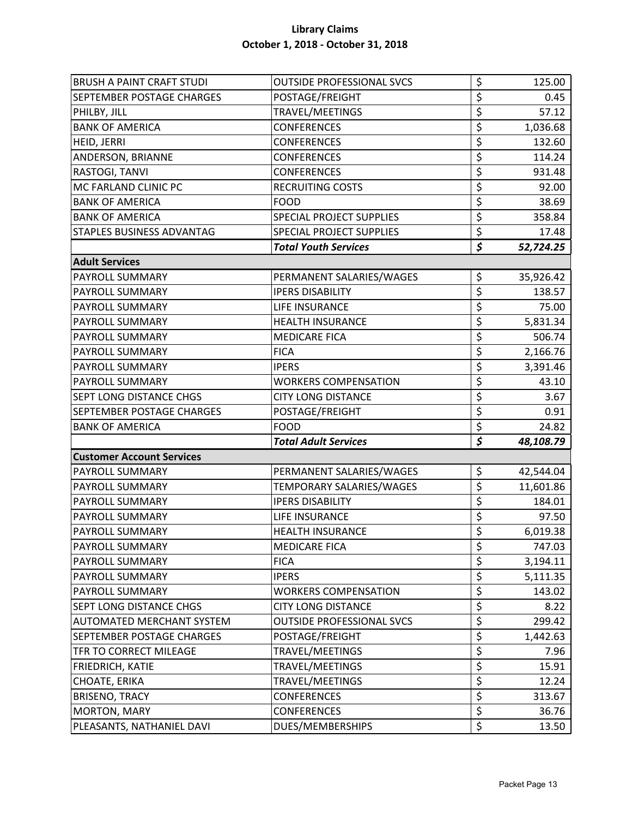| <b>BRUSH A PAINT CRAFT STUDI</b> | <b>OUTSIDE PROFESSIONAL SVCS</b> | \$                              | 125.00    |
|----------------------------------|----------------------------------|---------------------------------|-----------|
| <b>SEPTEMBER POSTAGE CHARGES</b> | POSTAGE/FREIGHT                  | \$                              | 0.45      |
| PHILBY, JILL                     | TRAVEL/MEETINGS                  | \$                              | 57.12     |
| <b>BANK OF AMERICA</b>           | <b>CONFERENCES</b>               | \$                              | 1,036.68  |
| <b>HEID, JERRI</b>               | <b>CONFERENCES</b>               | \$                              | 132.60    |
| ANDERSON, BRIANNE                | <b>CONFERENCES</b>               | \$                              | 114.24    |
| RASTOGI, TANVI                   | <b>CONFERENCES</b>               | \$                              | 931.48    |
| MC FARLAND CLINIC PC             | <b>RECRUITING COSTS</b>          | \$                              | 92.00     |
| <b>BANK OF AMERICA</b>           | <b>FOOD</b>                      | \$                              | 38.69     |
| <b>BANK OF AMERICA</b>           | <b>SPECIAL PROJECT SUPPLIES</b>  | \$                              | 358.84    |
| <b>STAPLES BUSINESS ADVANTAG</b> | <b>SPECIAL PROJECT SUPPLIES</b>  | \$                              | 17.48     |
|                                  | <b>Total Youth Services</b>      | $\overline{\boldsymbol{\zeta}}$ | 52,724.25 |
| <b>Adult Services</b>            |                                  |                                 |           |
| <b>PAYROLL SUMMARY</b>           | PERMANENT SALARIES/WAGES         | \$                              | 35,926.42 |
| <b>PAYROLL SUMMARY</b>           | <b>IPERS DISABILITY</b>          | \$                              | 138.57    |
| <b>PAYROLL SUMMARY</b>           | LIFE INSURANCE                   | \$                              | 75.00     |
| <b>PAYROLL SUMMARY</b>           | <b>HEALTH INSURANCE</b>          | \$                              | 5,831.34  |
| <b>PAYROLL SUMMARY</b>           | <b>MEDICARE FICA</b>             | \$                              | 506.74    |
| <b>PAYROLL SUMMARY</b>           | <b>FICA</b>                      | \$                              | 2,166.76  |
| <b>PAYROLL SUMMARY</b>           | <b>IPERS</b>                     | \$                              | 3,391.46  |
| <b>PAYROLL SUMMARY</b>           | <b>WORKERS COMPENSATION</b>      | \$                              | 43.10     |
| <b>SEPT LONG DISTANCE CHGS</b>   | <b>CITY LONG DISTANCE</b>        | \$                              | 3.67      |
| <b>SEPTEMBER POSTAGE CHARGES</b> | POSTAGE/FREIGHT                  | \$                              | 0.91      |
| <b>BANK OF AMERICA</b>           | <b>FOOD</b>                      | \$                              | 24.82     |
|                                  | <b>Total Adult Services</b>      | $\overline{\boldsymbol{\zeta}}$ | 48,108.79 |
| <b>Customer Account Services</b> |                                  |                                 |           |
| <b>PAYROLL SUMMARY</b>           | PERMANENT SALARIES/WAGES         | \$                              | 42,544.04 |
| <b>PAYROLL SUMMARY</b>           | TEMPORARY SALARIES/WAGES         | \$                              | 11,601.86 |
| <b>PAYROLL SUMMARY</b>           | <b>IPERS DISABILITY</b>          | \$                              | 184.01    |
| <b>PAYROLL SUMMARY</b>           | LIFE INSURANCE                   | \$                              | 97.50     |
| <b>PAYROLL SUMMARY</b>           | <b>HEALTH INSURANCE</b>          | Ś                               | 6,019.38  |
| <b>PAYROLL SUMMARY</b>           | <b>MEDICARE FICA</b>             | \$                              | 747.03    |
| PAYROLL SUMMARY                  | <b>FICA</b>                      | \$                              | 3,194.11  |
| <b>PAYROLL SUMMARY</b>           | <b>IPERS</b>                     | \$                              | 5,111.35  |
| <b>PAYROLL SUMMARY</b>           | <b>WORKERS COMPENSATION</b>      | \$                              | 143.02    |
| <b>SEPT LONG DISTANCE CHGS</b>   | <b>CITY LONG DISTANCE</b>        | \$                              | 8.22      |
| <b>AUTOMATED MERCHANT SYSTEM</b> | <b>OUTSIDE PROFESSIONAL SVCS</b> | \$                              | 299.42    |
| <b>SEPTEMBER POSTAGE CHARGES</b> | POSTAGE/FREIGHT                  | \$                              | 1,442.63  |
| TFR TO CORRECT MILEAGE           | TRAVEL/MEETINGS                  | \$                              | 7.96      |
| <b>FRIEDRICH, KATIE</b>          | TRAVEL/MEETINGS                  | \$                              | 15.91     |
| <b>CHOATE, ERIKA</b>             | TRAVEL/MEETINGS                  | \$                              | 12.24     |
| <b>BRISENO, TRACY</b>            | <b>CONFERENCES</b>               | \$                              | 313.67    |
| <b>MORTON, MARY</b>              | <b>CONFERENCES</b>               | \$                              | 36.76     |
| PLEASANTS, NATHANIEL DAVI        | DUES/MEMBERSHIPS                 | \$                              | 13.50     |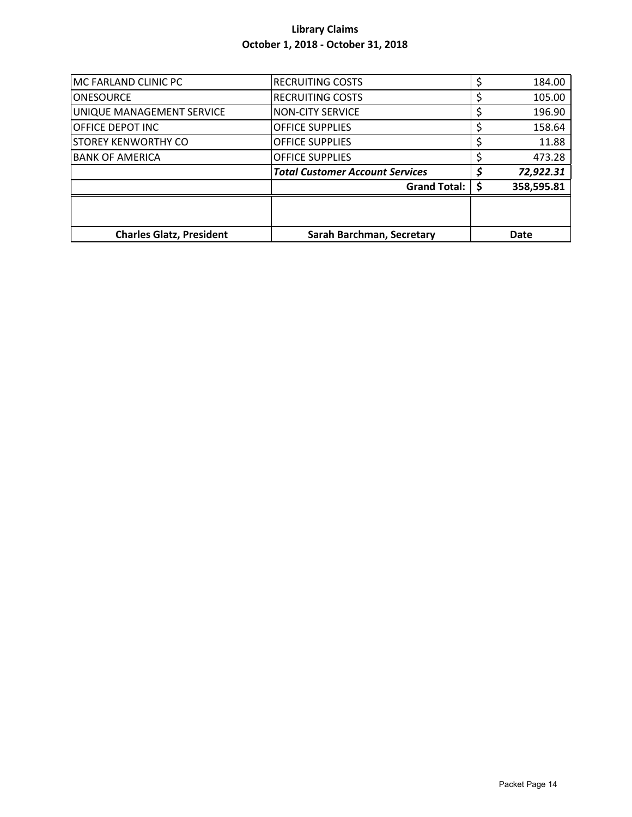| MC FARLAND CLINIC PC            | <b>RECRUITING COSTS</b>                | 184.00      |
|---------------------------------|----------------------------------------|-------------|
| <b>ONESOURCE</b>                | <b>RECRUITING COSTS</b>                | 105.00      |
| UNIQUE MANAGEMENT SERVICE       | <b>NON-CITY SERVICE</b>                | 196.90      |
| OFFICE DEPOT INC                | <b>OFFICE SUPPLIES</b>                 | 158.64      |
| <b>STOREY KENWORTHY CO</b>      | <b>OFFICE SUPPLIES</b>                 | 11.88       |
| <b>BANK OF AMERICA</b>          | <b>OFFICE SUPPLIES</b>                 | 473.28      |
|                                 | <b>Total Customer Account Services</b> | 72,922.31   |
|                                 | <b>Grand Total:</b>                    | 358,595.81  |
|                                 |                                        |             |
|                                 |                                        |             |
| <b>Charles Glatz, President</b> | Sarah Barchman, Secretary              | <b>Date</b> |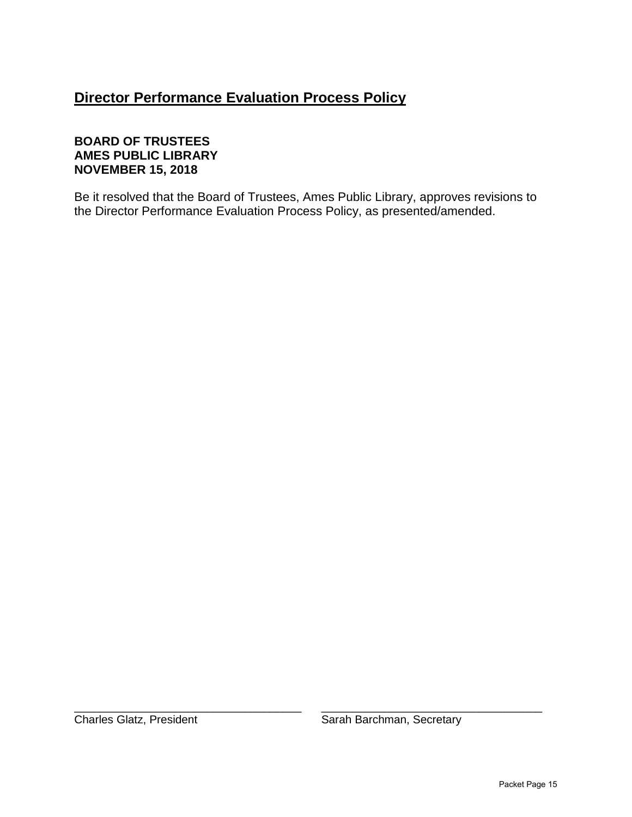## **Director Performance Evaluation Process Policy**

## **BOARD OF TRUSTEES AMES PUBLIC LIBRARY NOVEMBER 15, 2018**

Be it resolved that the Board of Trustees, Ames Public Library, approves revisions to the Director Performance Evaluation Process Policy, as presented/amended.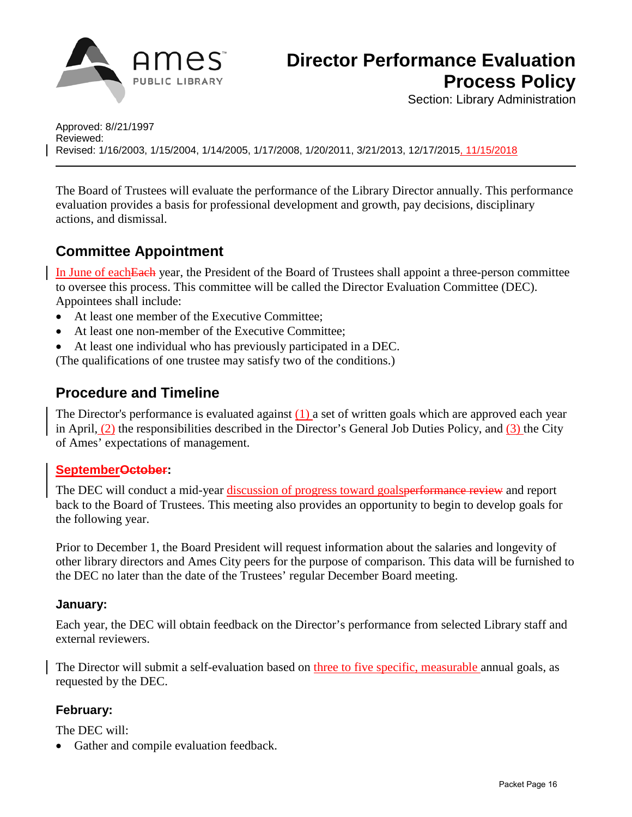

Section: Library Administration

Approved: 8//21/1997 Reviewed: Revised: 1/16/2003, 1/15/2004, 1/14/2005, 1/17/2008, 1/20/2011, 3/21/2013, 12/17/2015, 11/15/2018

The Board of Trustees will evaluate the performance of the Library Director annually. This performance evaluation provides a basis for professional development and growth, pay decisions, disciplinary actions, and dismissal.

## **Committee Appointment**

In June of eachEach year, the President of the Board of Trustees shall appoint a three-person committee to oversee this process. This committee will be called the Director Evaluation Committee (DEC). Appointees shall include:

- At least one member of the Executive Committee:
- At least one non-member of the Executive Committee;
- At least one individual who has previously participated in a DEC.

(The qualifications of one trustee may satisfy two of the conditions.)

## **Procedure and Timeline**

The Director's performance is evaluated against (1) a set of written goals which are approved each year in April, (2) the responsibilities described in the Director's General Job Duties Policy, and (3) the City of Ames' expectations of management.

## SeptemberOctober:

The DEC will conduct a mid-year discussion of progress toward goalsperformance review and report back to the Board of Trustees. This meeting also provides an opportunity to begin to develop goals for the following year.

Prior to December 1, the Board President will request information about the salaries and longevity of other library directors and Ames City peers for the purpose of comparison. This data will be furnished to the DEC no later than the date of the Trustees' regular December Board meeting.

## **January:**

Each year, the DEC will obtain feedback on the Director's performance from selected Library staff and external reviewers.

The Director will submit a self-evaluation based on three to five specific, measurable annual goals, as requested by the DEC.

## **February:**

The DEC will:

• Gather and compile evaluation feedback.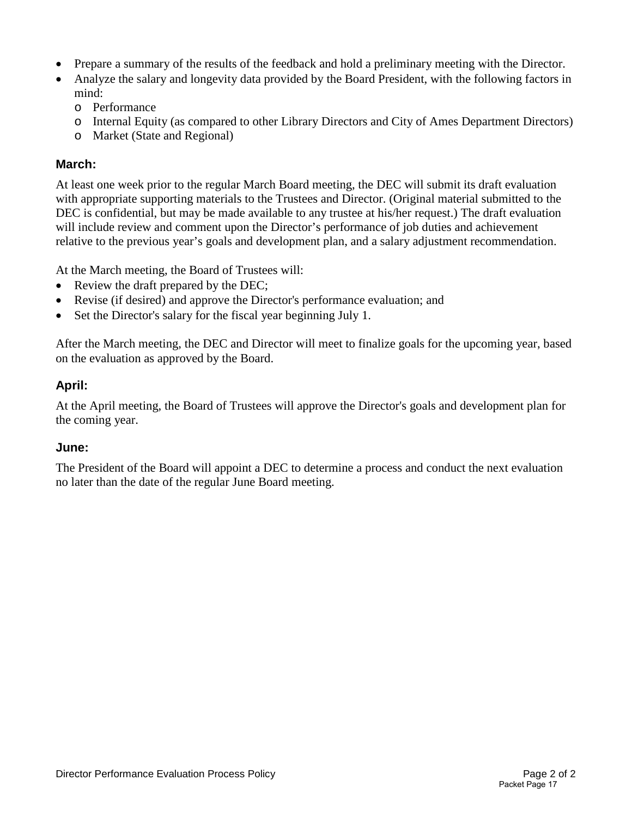- Prepare a summary of the results of the feedback and hold a preliminary meeting with the Director.
- Analyze the salary and longevity data provided by the Board President, with the following factors in mind:
	- o Performance
	- o Internal Equity (as compared to other Library Directors and City of Ames Department Directors)
	- o Market (State and Regional)

#### **March:**

At least one week prior to the regular March Board meeting, the DEC will submit its draft evaluation with appropriate supporting materials to the Trustees and Director. (Original material submitted to the DEC is confidential, but may be made available to any trustee at his/her request.) The draft evaluation will include review and comment upon the Director's performance of job duties and achievement relative to the previous year's goals and development plan, and a salary adjustment recommendation.

At the March meeting, the Board of Trustees will:

- Review the draft prepared by the DEC;
- Revise (if desired) and approve the Director's performance evaluation; and
- Set the Director's salary for the fiscal year beginning July 1.

After the March meeting, the DEC and Director will meet to finalize goals for the upcoming year, based on the evaluation as approved by the Board.

## **April:**

At the April meeting, the Board of Trustees will approve the Director's goals and development plan for the coming year.

#### **June:**

The President of the Board will appoint a DEC to determine a process and conduct the next evaluation no later than the date of the regular June Board meeting.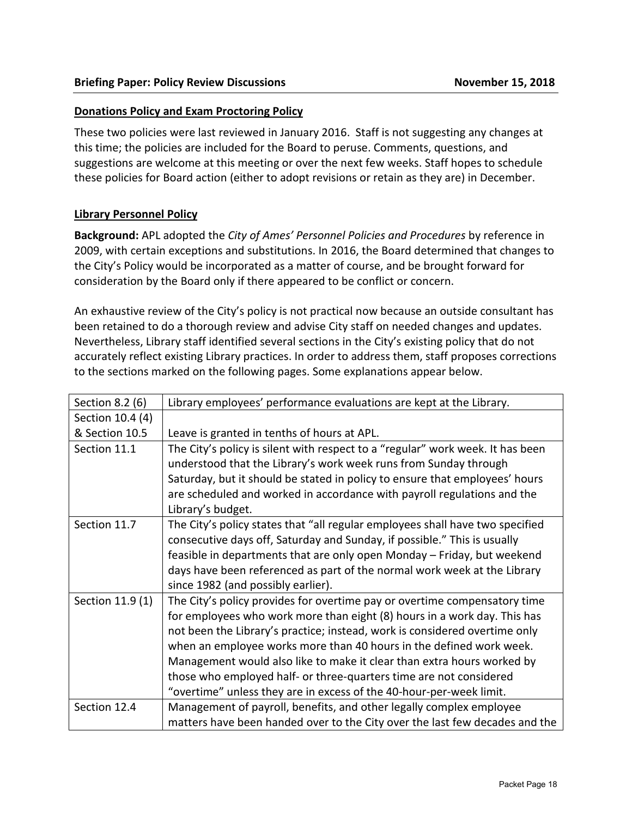#### **Donations Policy and Exam Proctoring Policy**

These two policies were last reviewed in January 2016. Staff is not suggesting any changes at this time; the policies are included for the Board to peruse. Comments, questions, and suggestions are welcome at this meeting or over the next few weeks. Staff hopes to schedule these policies for Board action (either to adopt revisions or retain as they are) in December.

#### **Library Personnel Policy**

**Background:** APL adopted the *City of Ames' Personnel Policies and Procedures* by reference in 2009, with certain exceptions and substitutions. In 2016, the Board determined that changes to the City's Policy would be incorporated as a matter of course, and be brought forward for consideration by the Board only if there appeared to be conflict or concern.

An exhaustive review of the City's policy is not practical now because an outside consultant has been retained to do a thorough review and advise City staff on needed changes and updates. Nevertheless, Library staff identified several sections in the City's existing policy that do not accurately reflect existing Library practices. In order to address them, staff proposes corrections to the sections marked on the following pages. Some explanations appear below.

| Section 8.2 (6)  | Library employees' performance evaluations are kept at the Library.                                                                                                                                                                                                                                                                                                                                                                                                                                                               |
|------------------|-----------------------------------------------------------------------------------------------------------------------------------------------------------------------------------------------------------------------------------------------------------------------------------------------------------------------------------------------------------------------------------------------------------------------------------------------------------------------------------------------------------------------------------|
| Section 10.4 (4) |                                                                                                                                                                                                                                                                                                                                                                                                                                                                                                                                   |
| & Section 10.5   | Leave is granted in tenths of hours at APL.                                                                                                                                                                                                                                                                                                                                                                                                                                                                                       |
| Section 11.1     | The City's policy is silent with respect to a "regular" work week. It has been<br>understood that the Library's work week runs from Sunday through<br>Saturday, but it should be stated in policy to ensure that employees' hours<br>are scheduled and worked in accordance with payroll regulations and the<br>Library's budget.                                                                                                                                                                                                 |
| Section 11.7     | The City's policy states that "all regular employees shall have two specified<br>consecutive days off, Saturday and Sunday, if possible." This is usually<br>feasible in departments that are only open Monday - Friday, but weekend<br>days have been referenced as part of the normal work week at the Library<br>since 1982 (and possibly earlier).                                                                                                                                                                            |
| Section 11.9 (1) | The City's policy provides for overtime pay or overtime compensatory time<br>for employees who work more than eight (8) hours in a work day. This has<br>not been the Library's practice; instead, work is considered overtime only<br>when an employee works more than 40 hours in the defined work week.<br>Management would also like to make it clear than extra hours worked by<br>those who employed half- or three-quarters time are not considered<br>"overtime" unless they are in excess of the 40-hour-per-week limit. |
| Section 12.4     | Management of payroll, benefits, and other legally complex employee<br>matters have been handed over to the City over the last few decades and the                                                                                                                                                                                                                                                                                                                                                                                |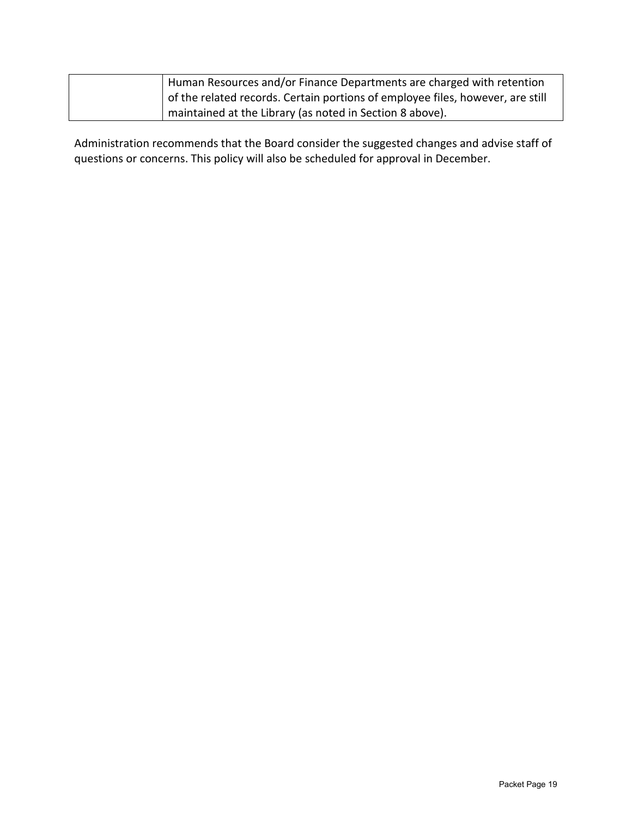| Human Resources and/or Finance Departments are charged with retention          |
|--------------------------------------------------------------------------------|
| of the related records. Certain portions of employee files, however, are still |
| maintained at the Library (as noted in Section 8 above).                       |

Administration recommends that the Board consider the suggested changes and advise staff of questions or concerns. This policy will also be scheduled for approval in December.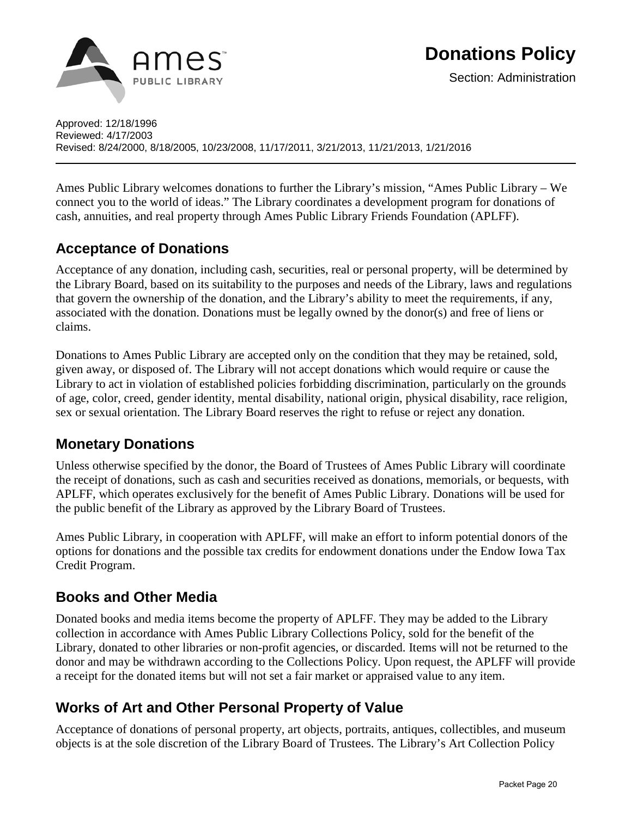

Approved: 12/18/1996 Reviewed: 4/17/2003 Revised: 8/24/2000, 8/18/2005, 10/23/2008, 11/17/2011, 3/21/2013, 11/21/2013, 1/21/2016

Ames Public Library welcomes donations to further the Library's mission, "Ames Public Library – We connect you to the world of ideas." The Library coordinates a development program for donations of cash, annuities, and real property through Ames Public Library Friends Foundation (APLFF).

## **Acceptance of Donations**

Acceptance of any donation, including cash, securities, real or personal property, will be determined by the Library Board, based on its suitability to the purposes and needs of the Library, laws and regulations that govern the ownership of the donation, and the Library's ability to meet the requirements, if any, associated with the donation. Donations must be legally owned by the donor(s) and free of liens or claims.

Donations to Ames Public Library are accepted only on the condition that they may be retained, sold, given away, or disposed of. The Library will not accept donations which would require or cause the Library to act in violation of established policies forbidding discrimination, particularly on the grounds of age, color, creed, gender identity, mental disability, national origin, physical disability, race religion, sex or sexual orientation. The Library Board reserves the right to refuse or reject any donation.

## **Monetary Donations**

Unless otherwise specified by the donor, the Board of Trustees of Ames Public Library will coordinate the receipt of donations, such as cash and securities received as donations, memorials, or bequests, with APLFF, which operates exclusively for the benefit of Ames Public Library. Donations will be used for the public benefit of the Library as approved by the Library Board of Trustees.

Ames Public Library, in cooperation with APLFF, will make an effort to inform potential donors of the options for donations and the possible tax credits for endowment donations under the [Endow Iowa Tax](http://www.iowacommunityfoundations.org/endow-iowa-tax-credits.aspx)  [Credit Program.](http://www.iowacommunityfoundations.org/endow-iowa-tax-credits.aspx)

## **Books and Other Media**

Donated books and media items become the property of APLFF. They may be added to the Library collection in accordance with Ames Public Library [Collections Policy,](http://www.amespubliclibrary.org/Docs_PDFs/Policy/CollectionsPolicy.pdf) sold for the benefit of the Library, donated to other libraries or non-profit agencies, or discarded. Items will not be returned to the donor and may be withdrawn according to the Collections Policy. Upon request, the APLFF will provide a receipt for the donated items but will not set a fair market or appraised value to any item.

## **Works of Art and Other Personal Property of Value**

Acceptance of donations of personal property, art objects, portraits, antiques, collectibles, and museum objects is at the sole discretion of the Library Board of Trustees. The Library's [Art Collection Policy](http://www.amespubliclibrary.org/Docs_PDFs/Policy/ArtCollectionPolicy.pdf)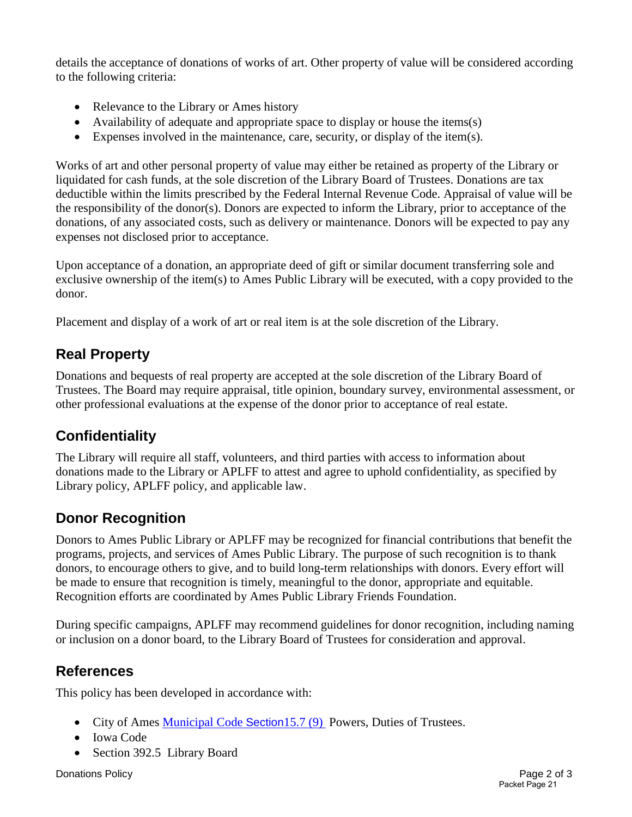details the acceptance of donations of works of art. Other property of value will be considered according to the following criteria:

- Relevance to the Library or Ames history
- Availability of adequate and appropriate space to display or house the items(s)
- Expenses involved in the maintenance, care, security, or display of the item(s).

Works of art and other personal property of value may either be retained as property of the Library or liquidated for cash funds, at the sole discretion of the Library Board of Trustees. Donations are tax deductible within the limits prescribed by the Federal Internal Revenue Code. Appraisal of value will be the responsibility of the donor(s). Donors are expected to inform the Library, prior to acceptance of the donations, of any associated costs, such as delivery or maintenance. Donors will be expected to pay any expenses not disclosed prior to acceptance.

Upon acceptance of a donation, an appropriate deed of gift or similar document transferring sole and exclusive ownership of the item(s) to Ames Public Library will be executed, with a copy provided to the donor.

Placement and display of a work of art or real item is at the sole discretion of the Library.

## **Real Property**

Donations and bequests of real property are accepted at the sole discretion of the Library Board of Trustees. The Board may require appraisal, title opinion, boundary survey, environmental assessment, or other professional evaluations at the expense of the donor prior to acceptance of real estate.

## **Confidentiality**

The Library will require all staff, volunteers, and third parties with access to information about donations made to the Library or APLFF to attest and agree to uphold confidentiality, as specified by Library policy, APLFF policy, and applicable law.

## **Donor Recognition**

Donors to Ames Public Library or APLFF may be recognized for financial contributions that benefit the programs, projects, and services of Ames Public Library. The purpose of such recognition is to thank donors, to encourage others to give, and to build long-term relationships with donors. Every effort will be made to ensure that recognition is timely, meaningful to the donor, appropriate and equitable. Recognition efforts are coordinated by Ames Public Library Friends Foundation.

During specific campaigns, APLFF may recommend guidelines for donor recognition, including naming or inclusion on a donor board, to the Library Board of Trustees for consideration and approval.

## **References**

This policy has been developed in accordance with:

- City of Ames [Municipal Code](http://www.cityofames.org/home/showdocument?id=270) Section 15.7 (9) Powers, Duties of Trustees.
- Iowa Code
- Section 392.5 Library Board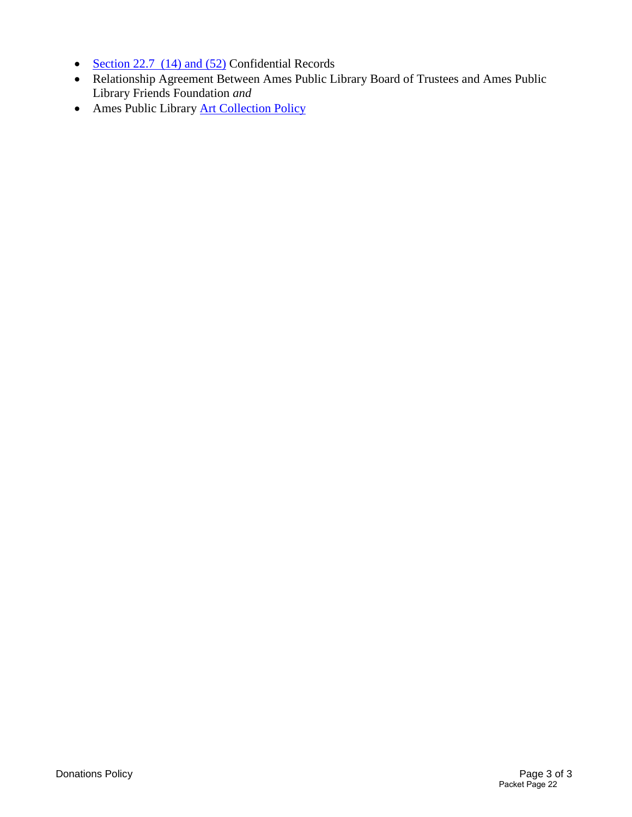- [Section 22.7 \(14\) and \(52\)](http://coolice.legis.iowa.gov/cool-ice/default.asp?category=billinfo&service=iowacode&input=22.7) Confidential Records
- Relationship Agreement Between Ames Public Library Board of Trustees and Ames Public Library Friends Foundation *and*
- Ames Public Library [Art Collection Policy](http://www.amespubliclibrary.org/Docs_PDFs/Policy/ArtCollectionPolicy.pdf)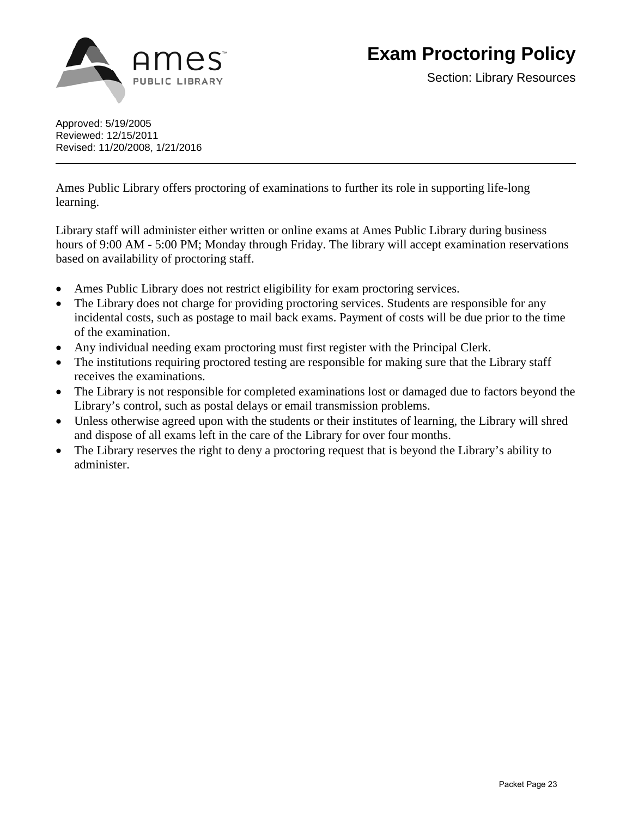

Approved: 5/19/2005 Reviewed: 12/15/2011 Revised: 11/20/2008, 1/21/2016

Ames Public Library offers proctoring of examinations to further its role in supporting life-long learning.

Library staff will administer either written or online exams at Ames Public Library during business hours of 9:00 AM - 5:00 PM; Monday through Friday. The library will accept examination reservations based on availability of proctoring staff.

- Ames Public Library does not restrict eligibility for exam proctoring services.
- The Library does not charge for providing proctoring services. Students are responsible for any incidental costs, such as postage to mail back exams. Payment of costs will be due prior to the time of the examination.
- Any individual needing exam proctoring must first register with the Principal Clerk.
- The institutions requiring proctored testing are responsible for making sure that the Library staff receives the examinations.
- The Library is not responsible for completed examinations lost or damaged due to factors beyond the Library's control, such as postal delays or email transmission problems.
- Unless otherwise agreed upon with the students or their institutes of learning, the Library will shred and dispose of all exams left in the care of the Library for over four months.
- The Library reserves the right to deny a proctoring request that is beyond the Library's ability to administer.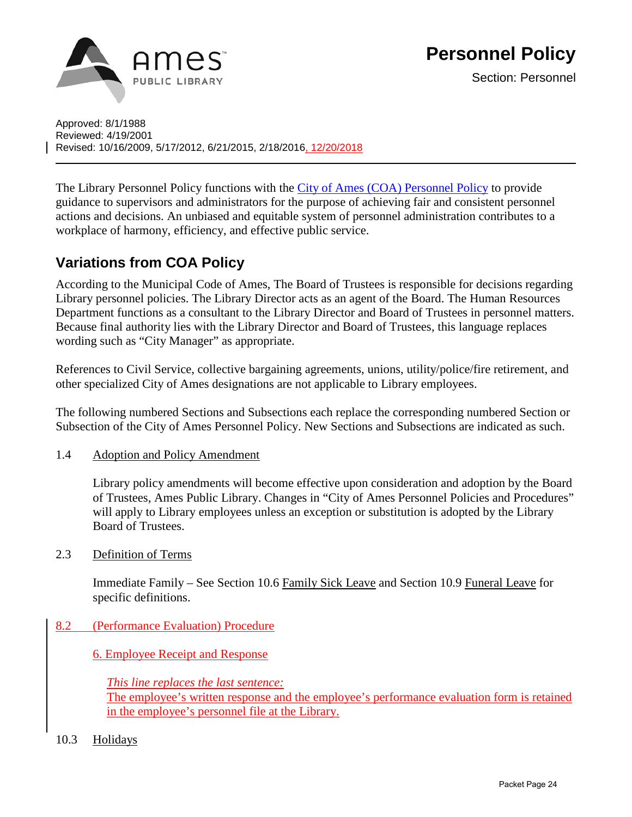

Approved: 8/1/1988 Reviewed: 4/19/2001 Revised: 10/16/2009, 5/17/2012, 6/21/2015, 2/18/2016, 12/20/2018

The Library Personnel Policy functions with the [City of Ames \(COA\) Personnel Policy](http://www.amespubliclibrary.org/Docs_PDFs/Policy/COAPersonnelPolicy.pdf) to provide guidance to supervisors and administrators for the purpose of achieving fair and consistent personnel actions and decisions. An unbiased and equitable system of personnel administration contributes to a workplace of harmony, efficiency, and effective public service.

## **Variations from COA Policy**

According to the Municipal Code of Ames, The Board of Trustees is responsible for decisions regarding Library personnel policies. The Library Director acts as an agent of the Board. The Human Resources Department functions as a consultant to the Library Director and Board of Trustees in personnel matters. Because final authority lies with the Library Director and Board of Trustees, this language replaces wording such as "City Manager" as appropriate.

References to Civil Service, collective bargaining agreements, unions, utility/police/fire retirement, and other specialized City of Ames designations are not applicable to Library employees.

The following numbered Sections and Subsections each replace the corresponding numbered Section or Subsection of the City of Ames Personnel Policy. New Sections and Subsections are indicated as such.

1.4 Adoption and Policy Amendment

Library policy amendments will become effective upon consideration and adoption by the Board of Trustees, Ames Public Library. Changes in "City of Ames Personnel Policies and Procedures" will apply to Library employees unless an exception or substitution is adopted by the Library Board of Trustees.

2.3 Definition of Terms

Immediate Family – See Section 10.6 Family Sick Leave and Section 10.9 Funeral Leave for specific definitions.

8.2 (Performance Evaluation) Procedure

6. Employee Receipt and Response

*This line replaces the last sentence:*  The employee's written response and the employee's performance evaluation form is retained in the employee's personnel file at the Library.

10.3 Holidays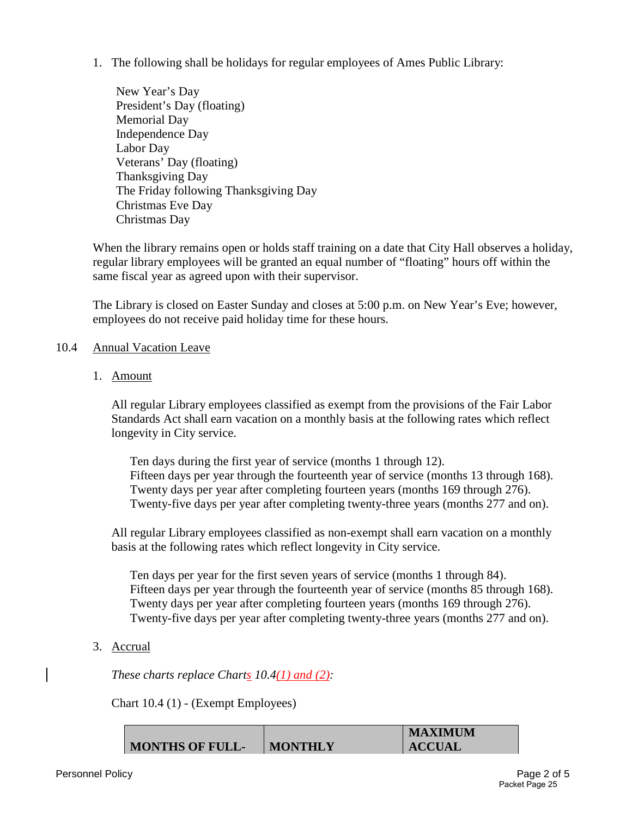1. The following shall be holidays for regular employees of Ames Public Library:

New Year's Day President's Day (floating) Memorial Day Independence Day Labor Day Veterans' Day (floating) Thanksgiving Day The Friday following Thanksgiving Day Christmas Eve Day Christmas Day

When the library remains open or holds staff training on a date that City Hall observes a holiday, regular library employees will be granted an equal number of "floating" hours off within the same fiscal year as agreed upon with their supervisor.

The Library is closed on Easter Sunday and closes at 5:00 p.m. on New Year's Eve; however, employees do not receive paid holiday time for these hours.

#### 10.4 Annual Vacation Leave

1. Amount

All regular Library employees classified as exempt from the provisions of the Fair Labor Standards Act shall earn vacation on a monthly basis at the following rates which reflect longevity in City service.

Ten days during the first year of service (months 1 through 12). Fifteen days per year through the fourteenth year of service (months 13 through 168). Twenty days per year after completing fourteen years (months 169 through 276). Twenty-five days per year after completing twenty-three years (months 277 and on).

All regular Library employees classified as non-exempt shall earn vacation on a monthly basis at the following rates which reflect longevity in City service.

Ten days per year for the first seven years of service (months 1 through 84). Fifteen days per year through the fourteenth year of service (months 85 through 168). Twenty days per year after completing fourteen years (months 169 through 276). Twenty-five days per year after completing twenty-three years (months 277 and on).

3. Accrual

*These charts replace Charts 10.4(1) and (2):* 

Chart 10.4 (1) - (Exempt Employees)

|                        |                | <b>MAXIMUM</b> |
|------------------------|----------------|----------------|
| <b>MONTHS OF FULL-</b> | <b>MONTHLY</b> | <b>ACCUAL</b>  |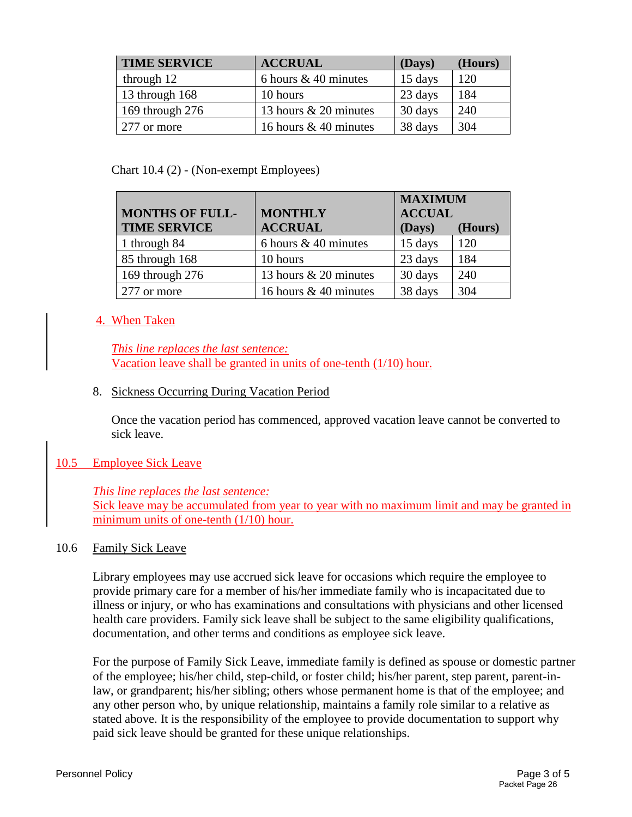| <b>TIME SERVICE</b> | <b>ACCRUAL</b>          | (Days)  | (Hours) |
|---------------------|-------------------------|---------|---------|
| through 12          | 6 hours $& 40$ minutes  | 15 days | 120     |
| 13 through 168      | 10 hours                | 23 days | 184     |
| 169 through 276     | 13 hours $& 20$ minutes | 30 days | 240     |
| 277 or more         | 16 hours & 40 minutes   | 38 days | 304     |

#### Chart 10.4 (2) - (Non-exempt Employees)

|                        |                        | <b>MAXIMUM</b> |         |
|------------------------|------------------------|----------------|---------|
| <b>MONTHS OF FULL-</b> | <b>MONTHLY</b>         | <b>ACCUAL</b>  |         |
| <b>TIME SERVICE</b>    | <b>ACCRUAL</b>         | (Days)         | (Hours) |
| 1 through 84           | 6 hours $& 40$ minutes | 15 days        | 120     |
| 85 through 168         | 10 hours               | 23 days        | 184     |
| 169 through 276        | 13 hours & 20 minutes  | 30 days        | 240     |
| 277 or more            | 16 hours & 40 minutes  | 38 days        | 304     |

## 4. When Taken

*This line replaces the last sentence:*  Vacation leave shall be granted in units of one-tenth (1/10) hour.

## 8. Sickness Occurring During Vacation Period

Once the vacation period has commenced, approved vacation leave cannot be converted to sick leave.

## 10.5 Employee Sick Leave

## *This line replaces the last sentence:*

Sick leave may be accumulated from year to year with no maximum limit and may be granted in minimum units of one-tenth (1/10) hour.

## 10.6 Family Sick Leave

Library employees may use accrued sick leave for occasions which require the employee to provide primary care for a member of his/her immediate family who is incapacitated due to illness or injury, or who has examinations and consultations with physicians and other licensed health care providers. Family sick leave shall be subject to the same eligibility qualifications, documentation, and other terms and conditions as employee sick leave.

For the purpose of Family Sick Leave, immediate family is defined as spouse or domestic partner of the employee; his/her child, step-child, or foster child; his/her parent, step parent, parent-inlaw, or grandparent; his/her sibling; others whose permanent home is that of the employee; and any other person who, by unique relationship, maintains a family role similar to a relative as stated above. It is the responsibility of the employee to provide documentation to support why paid sick leave should be granted for these unique relationships.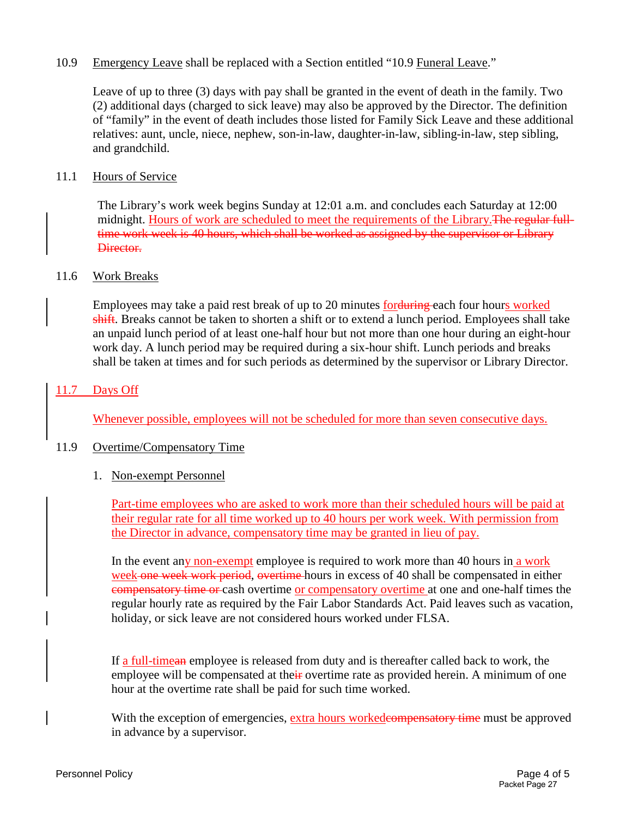### 10.9 Emergency Leave shall be replaced with a Section entitled "10.9 Funeral Leave."

Leave of up to three (3) days with pay shall be granted in the event of death in the family. Two (2) additional days (charged to sick leave) may also be approved by the Director. The definition of "family" in the event of death includes those listed for Family Sick Leave and these additional relatives: aunt, uncle, niece, nephew, son-in-law, daughter-in-law, sibling-in-law, step sibling, and grandchild.

#### 11.1 Hours of Service

The Library's work week begins Sunday at 12:01 a.m. and concludes each Saturday at 12:00 midnight. Hours of work are scheduled to meet the requirements of the Library. The regular fulltime work week is 40 hours, which shall be worked as assigned by the supervisor or Library Director.

#### 11.6 Work Breaks

Employees may take a paid rest break of up to 20 minutes for during each four hours worked shift. Breaks cannot be taken to shorten a shift or to extend a lunch period. Employees shall take an unpaid lunch period of at least one-half hour but not more than one hour during an eight-hour work day. A lunch period may be required during a six-hour shift. Lunch periods and breaks shall be taken at times and for such periods as determined by the supervisor or Library Director.

#### 11.7 Days Off

Whenever possible, employees will not be scheduled for more than seven consecutive days.

#### 11.9 Overtime/Compensatory Time

#### 1. Non-exempt Personnel

Part-time employees who are asked to work more than their scheduled hours will be paid at their regular rate for all time worked up to 40 hours per work week. With permission from the Director in advance, compensatory time may be granted in lieu of pay.

In the event any non-exempt employee is required to work more than 40 hours in a work week one week work period, overtime hours in excess of 40 shall be compensated in either compensatory time or cash overtime or compensatory overtime at one and one-half times the regular hourly rate as required by the Fair Labor Standards Act. Paid leaves such as vacation, holiday, or sick leave are not considered hours worked under FLSA.

If a full-timean employee is released from duty and is thereafter called back to work, the employee will be compensated at their overtime rate as provided herein. A minimum of one hour at the overtime rate shall be paid for such time worked.

With the exception of emergencies, extra hours workedes or the state must be approved in advance by a supervisor.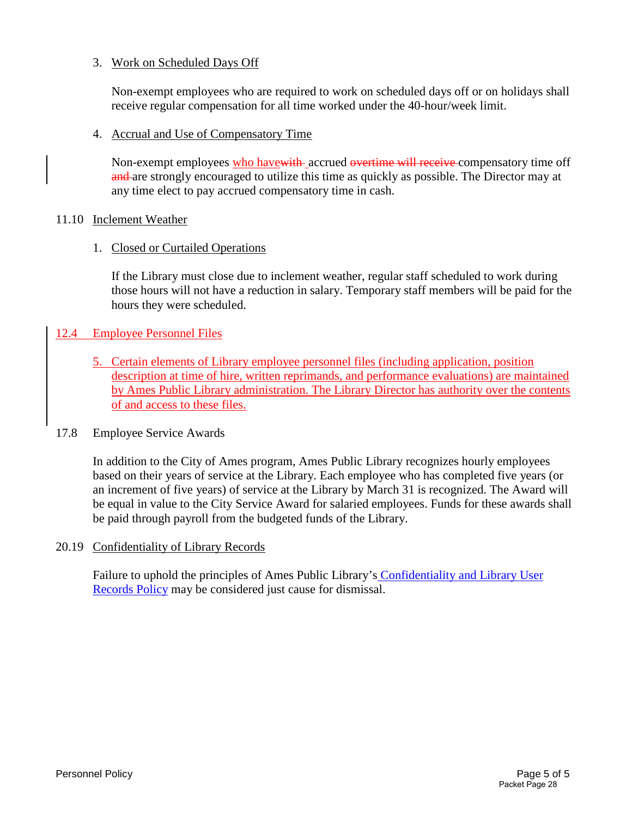### 3. Work on Scheduled Days Off

Non-exempt employees who are required to work on scheduled days off or on holidays shall receive regular compensation for all time worked under the 40-hour/week limit.

4. Accrual and Use of Compensatory Time

Non-exempt employees who have with accrued overtime will receive compensatory time off and are strongly encouraged to utilize this time as quickly as possible. The Director may at any time elect to pay accrued compensatory time in cash.

#### 11.10 Inclement Weather

#### 1. Closed or Curtailed Operations

If the Library must close due to inclement weather, regular staff scheduled to work during those hours will not have a reduction in salary. Temporary staff members will be paid for the hours they were scheduled.

## 12.4 Employee Personnel Files

5. Certain elements of Library employee personnel files (including application, position description at time of hire, written reprimands, and performance evaluations) are maintained by Ames Public Library administration. The Library Director has authority over the contents of and access to these files.

#### 17.8 Employee Service Awards

In addition to the City of Ames program, Ames Public Library recognizes hourly employees based on their years of service at the Library. Each employee who has completed five years (or an increment of five years) of service at the Library by March 31 is recognized. The Award will be equal in value to the City Service Award for salaried employees. Funds for these awards shall be paid through payroll from the budgeted funds of the Library.

#### 20.19 Confidentiality of Library Records

Failure to uphold the principles of Ames Public Library's [Confidentiality and Library User](http://www.amespubliclibrary.org/Docs_PDFs/Policy/ConfidentialityandLibraryUserRecordsPolicy.pdf)  [Records Policy](http://www.amespubliclibrary.org/Docs_PDFs/Policy/ConfidentialityandLibraryUserRecordsPolicy.pdf) may be considered just cause for dismissal.